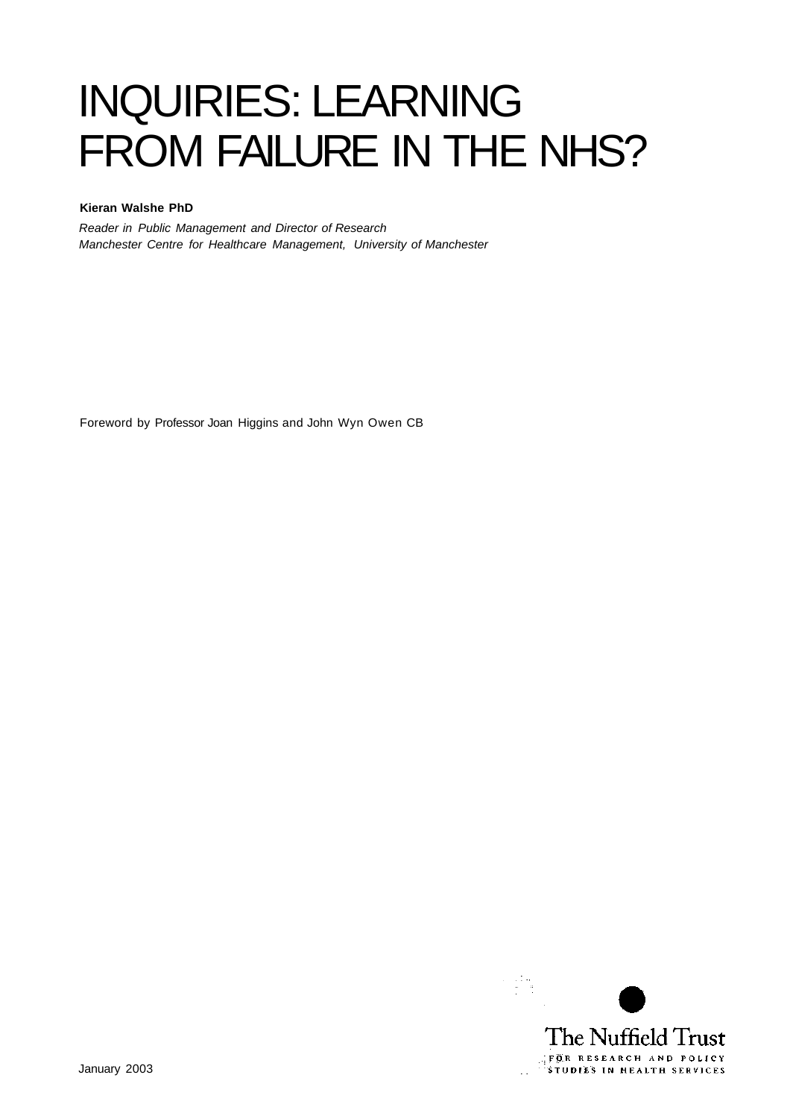# INQUIRIES: LEARNING FROM FAILURE IN THE NHS?

### **Kieran Walshe PhD**

Reader in Public Management and Director of Research Manchester Centre for Healthcare Management, University of Manchester

Foreword by Professor Joan Higgins and John Wyn Owen CB

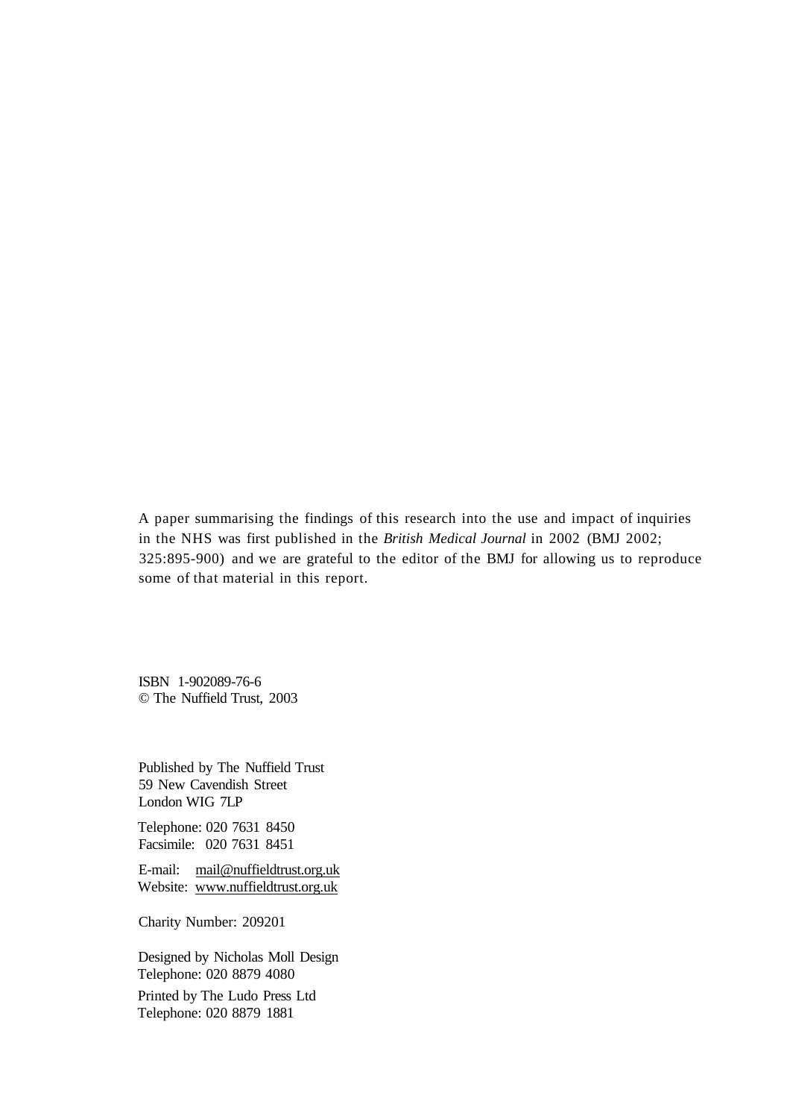A paper summarising the findings of this research into the use and impact of inquiries in the NHS was first published in the *British Medical Journal* in 2002 (BMJ 2002; 325:895-900) and we are grateful to the editor of the BMJ for allowing us to reproduce some of that material in this report.

ISBN 1-902089-76-6 © The Nuffield Trust, 2003

Published by The Nuffield Trust 59 New Cavendish Street London WIG 7LP

Telephone: 020 7631 8450 Facsimile: 020 7631 8451

E-mail: [mail@nuffieldtrust.org.uk](mailto:mail@nuffieldtrust.org.uk)  Website: [www.nuffieldtrust.org.uk](http://www.nuffieldtrust.org.uk) 

Charity Number: 209201

Designed by Nicholas Moll Design Telephone: 020 8879 4080 Printed by The Ludo Press Ltd

Telephone: 020 8879 1881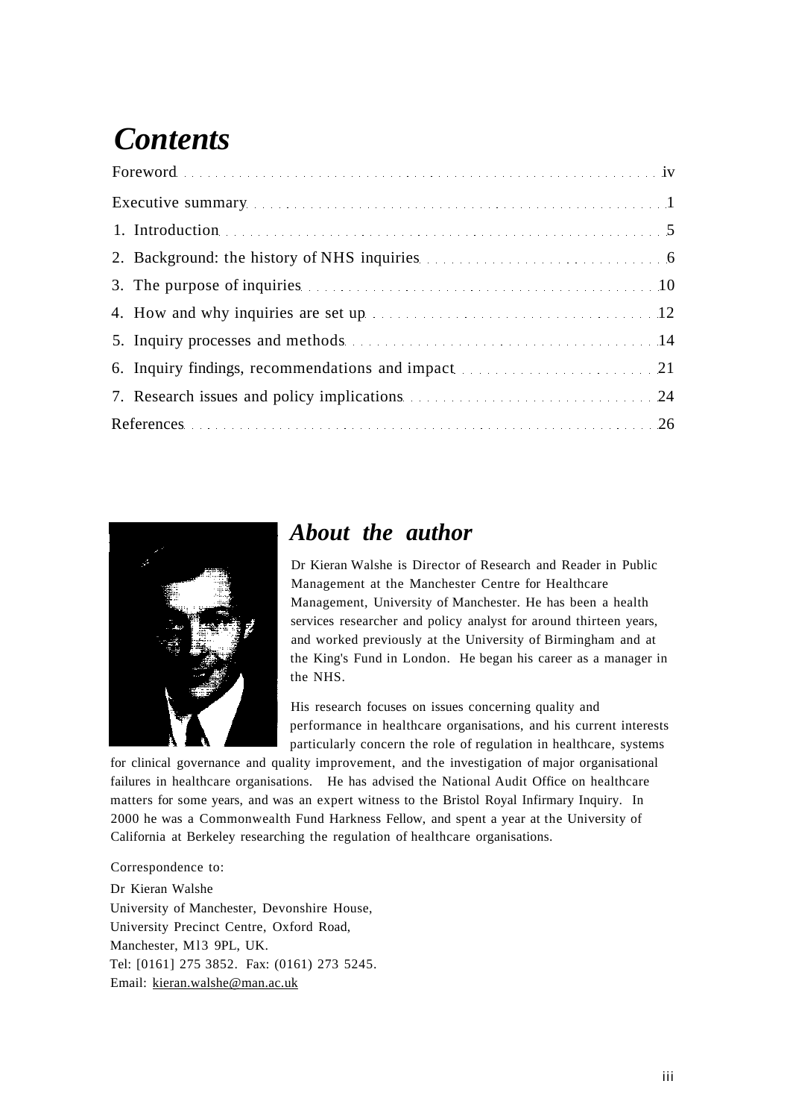# *Contents*

| 2. Background: the history of NHS inquiries <b>Example 2. Background:</b> the history of NHS inquiries                                                                                                                              |
|-------------------------------------------------------------------------------------------------------------------------------------------------------------------------------------------------------------------------------------|
| 3. The purpose of inquiries <b>Exercise 2.10</b> and 2.10 and 2.10 and 2.10 and 2.10 and 2.10 and 2.10 and 2.10 and 2.10 and 2.10 and 2.10 and 2.10 and 2.10 and 2.10 and 2.10 and 2.10 and 2.10 and 2.10 and 2.10 and 2.10 and 2.1 |
| 4. How and why inquiries are set up manufactured and the set of the set of the set of the set of the set of the set of the set of the set of the set of the set of the set of the set of the set of the set of the set of the       |
|                                                                                                                                                                                                                                     |
| 6. Inquiry findings, recommendations and impact 21                                                                                                                                                                                  |
|                                                                                                                                                                                                                                     |
| References 26                                                                                                                                                                                                                       |



### *About the author*

Dr Kieran Walshe is Director of Research and Reader in Public Management at the Manchester Centre for Healthcare Management, University of Manchester. He has been a health services researcher and policy analyst for around thirteen years, and worked previously at the University of Birmingham and at the King's Fund in London. He began his career as a manager in the NHS.

His research focuses on issues concerning quality and performance in healthcare organisations, and his current interests particularly concern the role of regulation in healthcare, systems

for clinical governance and quality improvement, and the investigation of major organisational failures in healthcare organisations. He has advised the National Audit Office on healthcare matters for some years, and was an expert witness to the Bristol Royal Infirmary Inquiry. In 2000 he was a Commonwealth Fund Harkness Fellow, and spent a year at the University of California at Berkeley researching the regulation of healthcare organisations.

### Correspondence to:

Dr Kieran Walshe University of Manchester, Devonshire House, University Precinct Centre, Oxford Road, Manchester, Ml3 9PL, UK. Tel: [0161] 275 3852. Fax: (0161) 273 5245. Email: [kieran.walshe@man.ac.uk](mailto:kieran.walshe@man.ac.uk)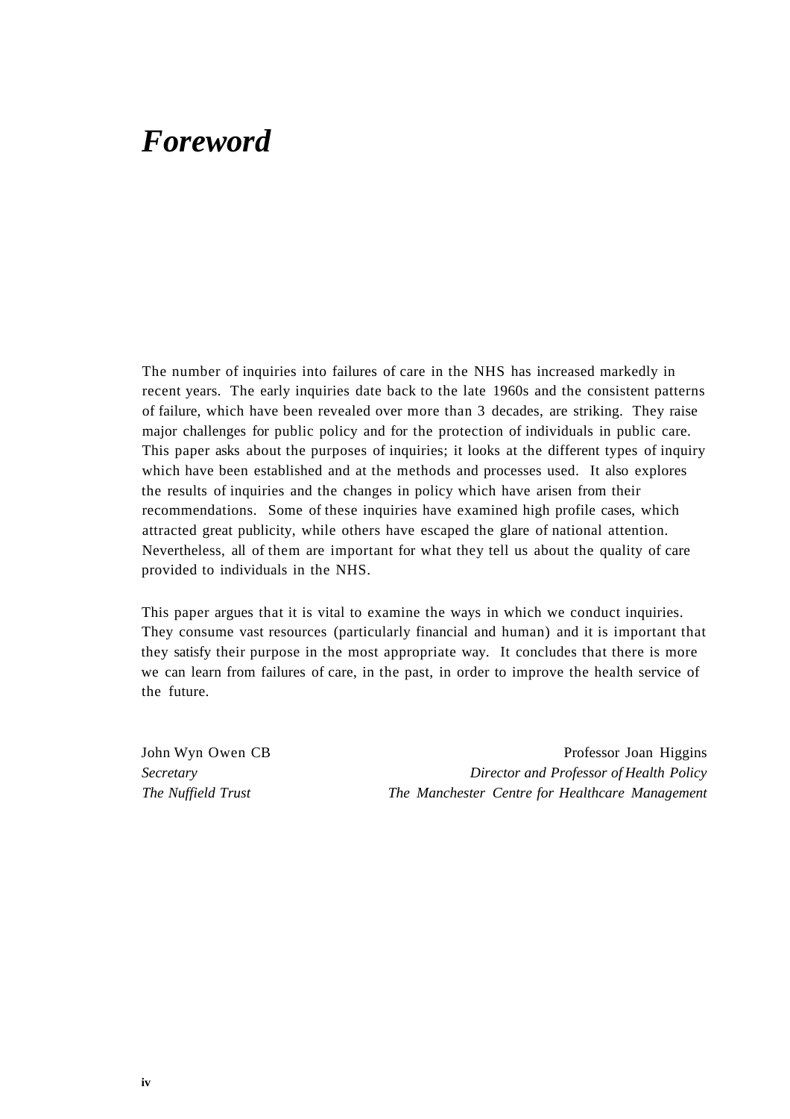### *Foreword*

The number of inquiries into failures of care in the NHS has increased markedly in recent years. The early inquiries date back to the late 1960s and the consistent patterns of failure, which have been revealed over more than 3 decades, are striking. They raise major challenges for public policy and for the protection of individuals in public care. This paper asks about the purposes of inquiries; it looks at the different types of inquiry which have been established and at the methods and processes used. It also explores the results of inquiries and the changes in policy which have arisen from their recommendations. Some of these inquiries have examined high profile cases, which attracted great publicity, while others have escaped the glare of national attention. Nevertheless, all of them are important for what they tell us about the quality of care provided to individuals in the NHS.

This paper argues that it is vital to examine the ways in which we conduct inquiries. They consume vast resources (particularly financial and human) and it is important that they satisfy their purpose in the most appropriate way. It concludes that there is more we can learn from failures of care, in the past, in order to improve the health service of the future.

John Wyn Owen CB Professor Joan Higgins *Secretary Director and Professor of Health Policy The Nuffield Trust The Manchester Centre for Healthcare Management*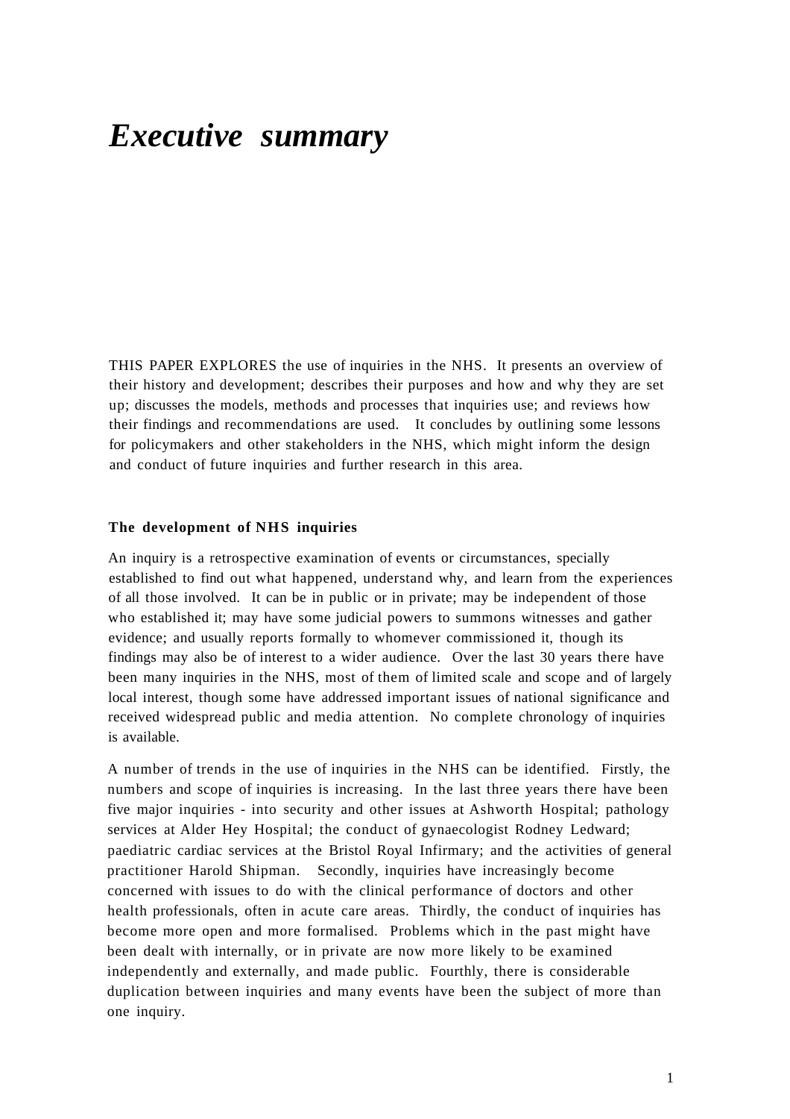### *Executive summary*

THIS PAPER EXPLORES the use of inquiries in the NHS. It presents an overview of their history and development; describes their purposes and how and why they are set up; discusses the models, methods and processes that inquiries use; and reviews how their findings and recommendations are used. It concludes by outlining some lessons for policymakers and other stakeholders in the NHS, which might inform the design and conduct of future inquiries and further research in this area.

### **The development of NHS inquiries**

An inquiry is a retrospective examination of events or circumstances, specially established to find out what happened, understand why, and learn from the experiences of all those involved. It can be in public or in private; may be independent of those who established it; may have some judicial powers to summons witnesses and gather evidence; and usually reports formally to whomever commissioned it, though its findings may also be of interest to a wider audience. Over the last 30 years there have been many inquiries in the NHS, most of them of limited scale and scope and of largely local interest, though some have addressed important issues of national significance and received widespread public and media attention. No complete chronology of inquiries is available.

A number of trends in the use of inquiries in the NHS can be identified. Firstly, the numbers and scope of inquiries is increasing. In the last three years there have been five major inquiries - into security and other issues at Ashworth Hospital; pathology services at Alder Hey Hospital; the conduct of gynaecologist Rodney Ledward; paediatric cardiac services at the Bristol Royal Infirmary; and the activities of general practitioner Harold Shipman. Secondly, inquiries have increasingly become concerned with issues to do with the clinical performance of doctors and other health professionals, often in acute care areas. Thirdly, the conduct of inquiries has become more open and more formalised. Problems which in the past might have been dealt with internally, or in private are now more likely to be examined independently and externally, and made public. Fourthly, there is considerable duplication between inquiries and many events have been the subject of more than one inquiry.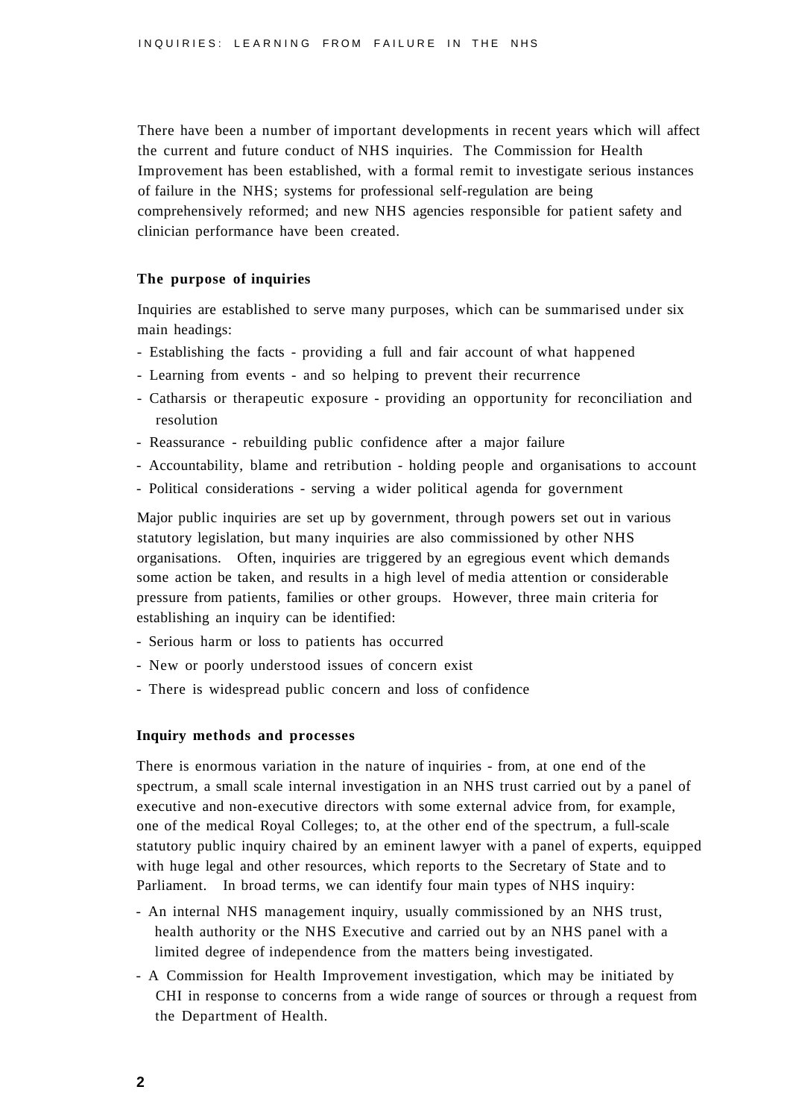There have been a number of important developments in recent years which will affect the current and future conduct of NHS inquiries. The Commission for Health Improvement has been established, with a formal remit to investigate serious instances of failure in the NHS; systems for professional self-regulation are being comprehensively reformed; and new NHS agencies responsible for patient safety and clinician performance have been created.

#### **The purpose of inquiries**

Inquiries are established to serve many purposes, which can be summarised under six main headings:

- Establishing the facts providing a full and fair account of what happened
- Learning from events and so helping to prevent their recurrence
- Catharsis or therapeutic exposure providing an opportunity for reconciliation and resolution
- Reassurance rebuilding public confidence after a major failure
- Accountability, blame and retribution holding people and organisations to account
- Political considerations serving a wider political agenda for government

Major public inquiries are set up by government, through powers set out in various statutory legislation, but many inquiries are also commissioned by other NHS organisations. Often, inquiries are triggered by an egregious event which demands some action be taken, and results in a high level of media attention or considerable pressure from patients, families or other groups. However, three main criteria for establishing an inquiry can be identified:

- Serious harm or loss to patients has occurred
- New or poorly understood issues of concern exist
- There is widespread public concern and loss of confidence

### **Inquiry methods and processes**

There is enormous variation in the nature of inquiries - from, at one end of the spectrum, a small scale internal investigation in an NHS trust carried out by a panel of executive and non-executive directors with some external advice from, for example, one of the medical Royal Colleges; to, at the other end of the spectrum, a full-scale statutory public inquiry chaired by an eminent lawyer with a panel of experts, equipped with huge legal and other resources, which reports to the Secretary of State and to Parliament. In broad terms, we can identify four main types of NHS inquiry:

- An internal NHS management inquiry, usually commissioned by an NHS trust, health authority or the NHS Executive and carried out by an NHS panel with a limited degree of independence from the matters being investigated.
- A Commission for Health Improvement investigation, which may be initiated by CHI in response to concerns from a wide range of sources or through a request from the Department of Health.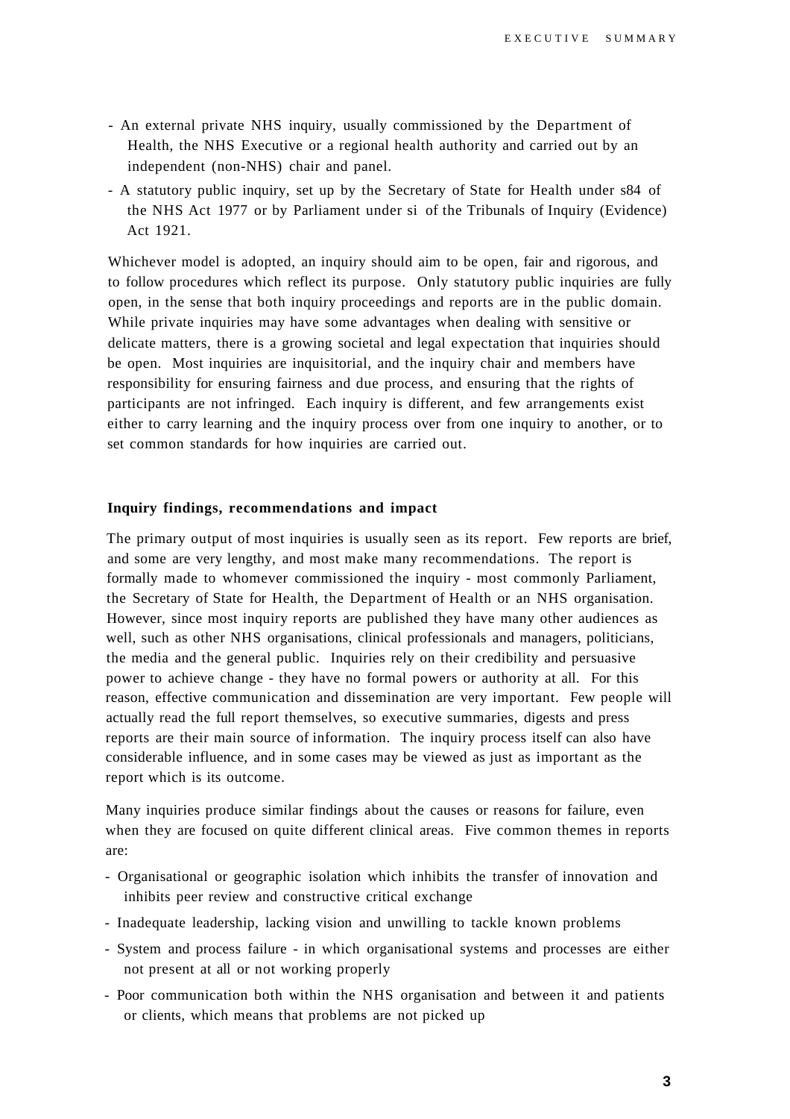- An external private NHS inquiry, usually commissioned by the Department of Health, the NHS Executive or a regional health authority and carried out by an independent (non-NHS) chair and panel.
- A statutory public inquiry, set up by the Secretary of State for Health under s84 of the NHS Act 1977 or by Parliament under si of the Tribunals of Inquiry (Evidence) Act 1921.

Whichever model is adopted, an inquiry should aim to be open, fair and rigorous, and to follow procedures which reflect its purpose. Only statutory public inquiries are fully open, in the sense that both inquiry proceedings and reports are in the public domain. While private inquiries may have some advantages when dealing with sensitive or delicate matters, there is a growing societal and legal expectation that inquiries should be open. Most inquiries are inquisitorial, and the inquiry chair and members have responsibility for ensuring fairness and due process, and ensuring that the rights of participants are not infringed. Each inquiry is different, and few arrangements exist either to carry learning and the inquiry process over from one inquiry to another, or to set common standards for how inquiries are carried out.

#### **Inquiry findings, recommendations and impact**

The primary output of most inquiries is usually seen as its report. Few reports are brief, and some are very lengthy, and most make many recommendations. The report is formally made to whomever commissioned the inquiry - most commonly Parliament, the Secretary of State for Health, the Department of Health or an NHS organisation. However, since most inquiry reports are published they have many other audiences as well, such as other NHS organisations, clinical professionals and managers, politicians, the media and the general public. Inquiries rely on their credibility and persuasive power to achieve change - they have no formal powers or authority at all. For this reason, effective communication and dissemination are very important. Few people will actually read the full report themselves, so executive summaries, digests and press reports are their main source of information. The inquiry process itself can also have considerable influence, and in some cases may be viewed as just as important as the report which is its outcome.

Many inquiries produce similar findings about the causes or reasons for failure, even when they are focused on quite different clinical areas. Five common themes in reports are:

- Organisational or geographic isolation which inhibits the transfer of innovation and inhibits peer review and constructive critical exchange
- Inadequate leadership, lacking vision and unwilling to tackle known problems
- System and process failure in which organisational systems and processes are either not present at all or not working properly
- Poor communication both within the NHS organisation and between it and patients or clients, which means that problems are not picked up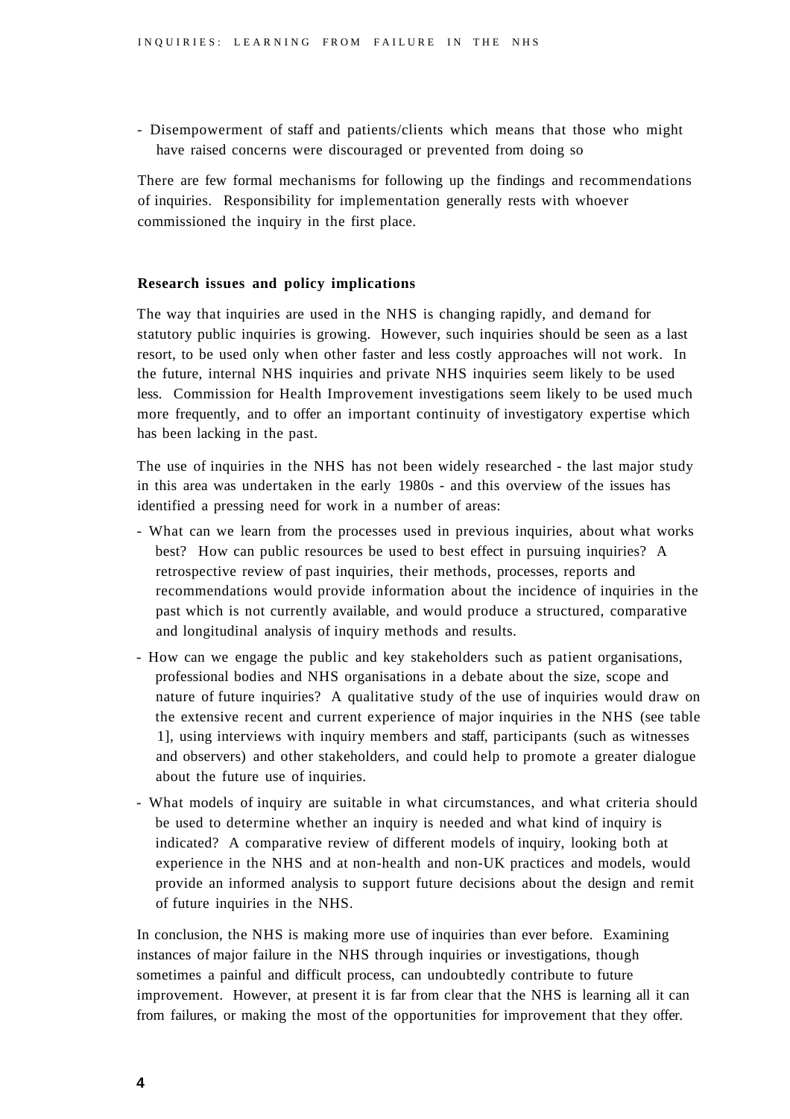- Disempowerment of staff and patients/clients which means that those who might have raised concerns were discouraged or prevented from doing so

There are few formal mechanisms for following up the findings and recommendations of inquiries. Responsibility for implementation generally rests with whoever commissioned the inquiry in the first place.

#### **Research issues and policy implications**

The way that inquiries are used in the NHS is changing rapidly, and demand for statutory public inquiries is growing. However, such inquiries should be seen as a last resort, to be used only when other faster and less costly approaches will not work. In the future, internal NHS inquiries and private NHS inquiries seem likely to be used less. Commission for Health Improvement investigations seem likely to be used much more frequently, and to offer an important continuity of investigatory expertise which has been lacking in the past.

The use of inquiries in the NHS has not been widely researched - the last major study in this area was undertaken in the early 1980s - and this overview of the issues has identified a pressing need for work in a number of areas:

- What can we learn from the processes used in previous inquiries, about what works best? How can public resources be used to best effect in pursuing inquiries? A retrospective review of past inquiries, their methods, processes, reports and recommendations would provide information about the incidence of inquiries in the past which is not currently available, and would produce a structured, comparative and longitudinal analysis of inquiry methods and results.
- How can we engage the public and key stakeholders such as patient organisations, professional bodies and NHS organisations in a debate about the size, scope and nature of future inquiries? A qualitative study of the use of inquiries would draw on the extensive recent and current experience of major inquiries in the NHS (see table 1], using interviews with inquiry members and staff, participants (such as witnesses and observers) and other stakeholders, and could help to promote a greater dialogue about the future use of inquiries.
- What models of inquiry are suitable in what circumstances, and what criteria should be used to determine whether an inquiry is needed and what kind of inquiry is indicated? A comparative review of different models of inquiry, looking both at experience in the NHS and at non-health and non-UK practices and models, would provide an informed analysis to support future decisions about the design and remit of future inquiries in the NHS.

In conclusion, the NHS is making more use of inquiries than ever before. Examining instances of major failure in the NHS through inquiries or investigations, though sometimes a painful and difficult process, can undoubtedly contribute to future improvement. However, at present it is far from clear that the NHS is learning all it can from failures, or making the most of the opportunities for improvement that they offer.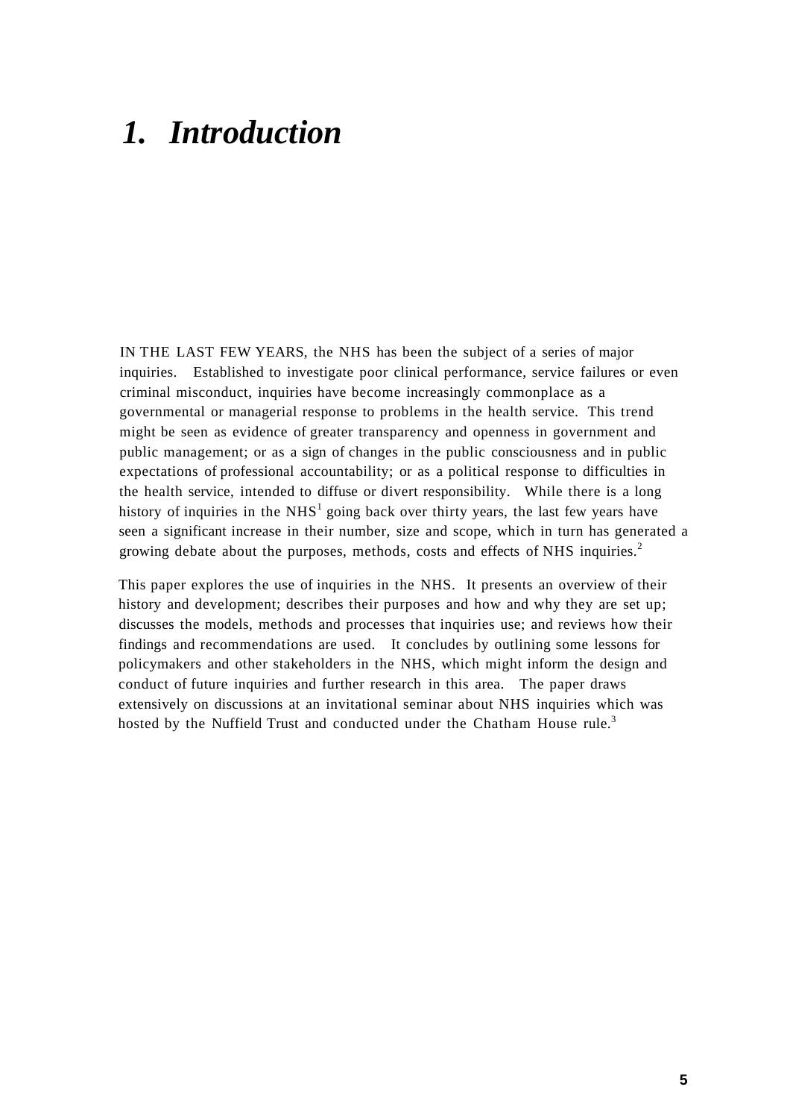# *1. Introduction*

IN THE LAST FEW YEARS, the NHS has been the subject of a series of major inquiries. Established to investigate poor clinical performance, service failures or even criminal misconduct, inquiries have become increasingly commonplace as a governmental or managerial response to problems in the health service. This trend might be seen as evidence of greater transparency and openness in government and public management; or as a sign of changes in the public consciousness and in public expectations of professional accountability; or as a political response to difficulties in the health service, intended to diffuse or divert responsibility. While there is a long history of inquiries in the  $NHS<sup>1</sup>$  going back over thirty years, the last few years have seen a significant increase in their number, size and scope, which in turn has generated a growing debate about the purposes, methods, costs and effects of NHS inquiries.<sup>2</sup>

This paper explores the use of inquiries in the NHS. It presents an overview of their history and development; describes their purposes and how and why they are set up; discusses the models, methods and processes that inquiries use; and reviews how their findings and recommendations are used. It concludes by outlining some lessons for policymakers and other stakeholders in the NHS, which might inform the design and conduct of future inquiries and further research in this area. The paper draws extensively on discussions at an invitational seminar about NHS inquiries which was hosted by the Nuffield Trust and conducted under the Chatham House rule.<sup>3</sup>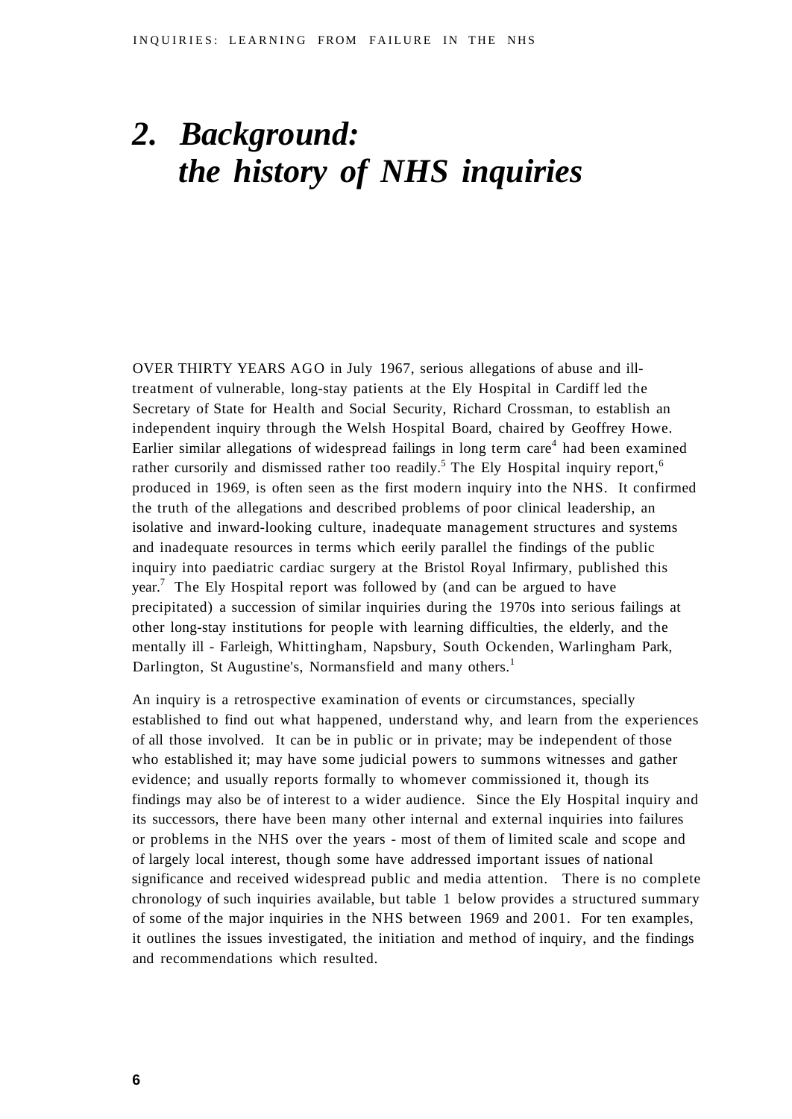# *2. Background: the history of NHS inquiries*

OVER THIRTY YEARS AGO in July 1967, serious allegations of abuse and illtreatment of vulnerable, long-stay patients at the Ely Hospital in Cardiff led the Secretary of State for Health and Social Security, Richard Crossman, to establish an independent inquiry through the Welsh Hospital Board, chaired by Geoffrey Howe. Earlier similar allegations of widespread failings in long term care<sup>4</sup> had been examined rather cursorily and dismissed rather too readily.<sup>5</sup> The Ely Hospital inquiry report,<sup>6</sup> produced in 1969, is often seen as the first modern inquiry into the NHS. It confirmed the truth of the allegations and described problems of poor clinical leadership, an isolative and inward-looking culture, inadequate management structures and systems and inadequate resources in terms which eerily parallel the findings of the public inquiry into paediatric cardiac surgery at the Bristol Royal Infirmary, published this year.<sup>7</sup> The Ely Hospital report was followed by (and can be argued to have precipitated) a succession of similar inquiries during the 1970s into serious failings at other long-stay institutions for people with learning difficulties, the elderly, and the mentally ill - Farleigh, Whittingham, Napsbury, South Ockenden, Warlingham Park, Darlington, St Augustine's, Normansfield and many others.<sup>1</sup>

An inquiry is a retrospective examination of events or circumstances, specially established to find out what happened, understand why, and learn from the experiences of all those involved. It can be in public or in private; may be independent of those who established it; may have some judicial powers to summons witnesses and gather evidence; and usually reports formally to whomever commissioned it, though its findings may also be of interest to a wider audience. Since the Ely Hospital inquiry and its successors, there have been many other internal and external inquiries into failures or problems in the NHS over the years - most of them of limited scale and scope and of largely local interest, though some have addressed important issues of national significance and received widespread public and media attention. There is no complete chronology of such inquiries available, but table 1 below provides a structured summary of some of the major inquiries in the NHS between 1969 and 2001. For ten examples, it outlines the issues investigated, the initiation and method of inquiry, and the findings and recommendations which resulted.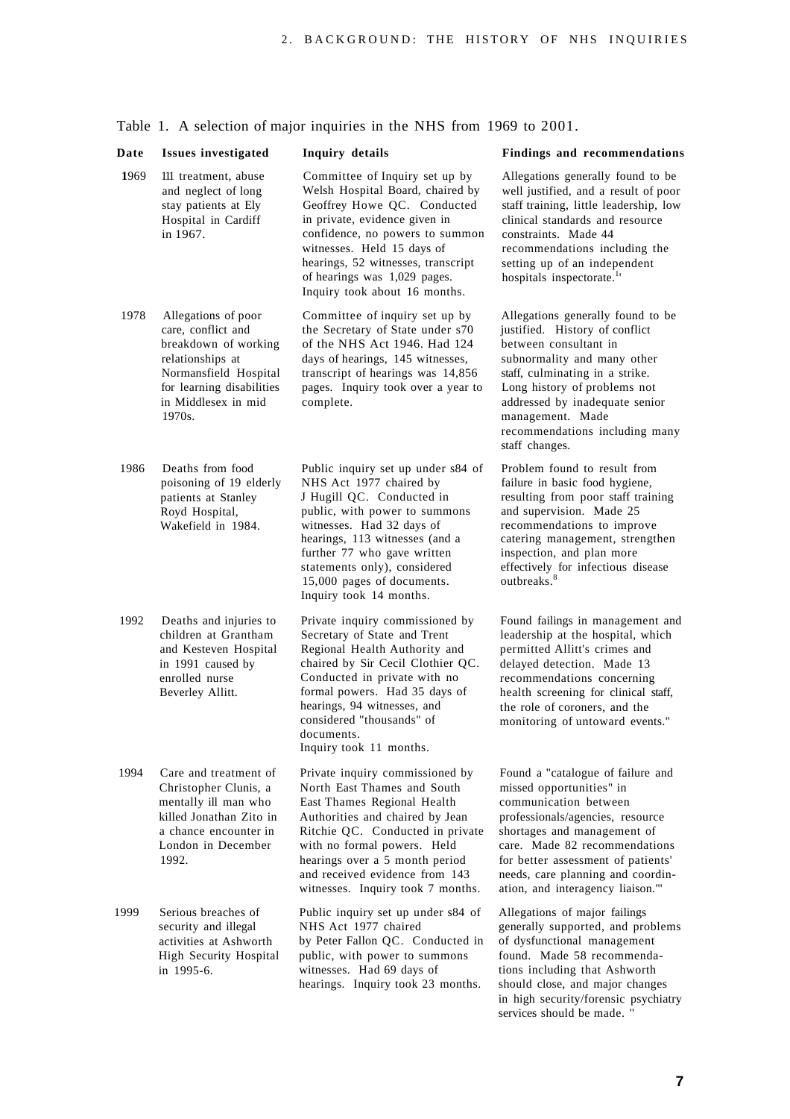| Date | Issues investigated                                                                                                                                                          | Inquiry details                                                                                                                                                                                                                                                                                                    | Findings and recommendations                                                                                                                                                                                                                                                                               |
|------|------------------------------------------------------------------------------------------------------------------------------------------------------------------------------|--------------------------------------------------------------------------------------------------------------------------------------------------------------------------------------------------------------------------------------------------------------------------------------------------------------------|------------------------------------------------------------------------------------------------------------------------------------------------------------------------------------------------------------------------------------------------------------------------------------------------------------|
| 1969 | 111 treatment, abuse<br>and neglect of long<br>stay patients at Ely<br>Hospital in Cardiff<br>in 1967.                                                                       | Committee of Inquiry set up by<br>Welsh Hospital Board, chaired by<br>Geoffrey Howe QC. Conducted<br>in private, evidence given in<br>confidence, no powers to summon<br>witnesses. Held 15 days of<br>hearings, 52 witnesses, transcript<br>of hearings was 1,029 pages.<br>Inquiry took about 16 months.         | Allegations generally found to be<br>well justified, and a result of poor<br>staff training, little leadership, low<br>clinical standards and resource<br>constraints. Made 44<br>recommendations including the<br>setting up of an independent<br>hospitals inspectorate. <sup>1</sup>                    |
| 1978 | Allegations of poor<br>care, conflict and<br>breakdown of working<br>relationships at<br>Normansfield Hospital<br>for learning disabilities<br>in Middlesex in mid<br>1970s. | Committee of inquiry set up by<br>the Secretary of State under s70<br>of the NHS Act 1946. Had 124<br>days of hearings, 145 witnesses,<br>transcript of hearings was 14,856<br>pages. Inquiry took over a year to<br>complete.                                                                                     | Allegations generally found to be<br>justified. History of conflict<br>between consultant in<br>subnormality and many other<br>staff, culminating in a strike.<br>Long history of problems not<br>addressed by inadequate senior<br>management. Made<br>recommendations including many<br>staff changes.   |
| 1986 | Deaths from food<br>poisoning of 19 elderly<br>patients at Stanley<br>Royd Hospital,<br>Wakefield in 1984.                                                                   | Public inquiry set up under s84 of<br>NHS Act 1977 chaired by<br>J Hugill QC. Conducted in<br>public, with power to summons<br>witnesses. Had 32 days of<br>hearings, 113 witnesses (and a<br>further 77 who gave written<br>statements only), considered<br>15,000 pages of documents.<br>Inquiry took 14 months. | Problem found to result from<br>failure in basic food hygiene,<br>resulting from poor staff training<br>and supervision. Made 25<br>recommendations to improve<br>catering management, strengthen<br>inspection, and plan more<br>effectively for infectious disease<br>outhreaks. <sup>8</sup>            |
| 1992 | Deaths and injuries to<br>children at Grantham<br>and Kesteven Hospital<br>in 1991 caused by<br>enrolled nurse<br>Beverley Allitt.                                           | Private inquiry commissioned by<br>Secretary of State and Trent<br>Regional Health Authority and<br>chaired by Sir Cecil Clothier QC.<br>Conducted in private with no<br>formal powers. Had 35 days of<br>hearings, 94 witnesses, and<br>considered "thousands" of<br>documents.<br>Inquiry took 11 months.        | Found failings in management and<br>leadership at the hospital, which<br>permitted Allitt's crimes and<br>delayed detection. Made 13<br>recommendations concerning<br>health screening for clinical staff,<br>the role of coroners, and the<br>monitoring of untoward events."                             |
| 1994 | Care and treatment of<br>Christopher Clunis, a<br>mentally ill man who<br>killed Jonathan Zito in<br>a chance encounter in<br>London in December<br>1992.                    | Private inquiry commissioned by<br>North East Thames and South<br>East Thames Regional Health<br>Authorities and chaired by Jean<br>Ritchie QC. Conducted in private<br>with no formal powers. Held<br>hearings over a 5 month period<br>and received evidence from 143<br>witnesses. Inquiry took 7 months.       | Found a "catalogue of failure and<br>missed opportunities" in<br>communication between<br>professionals/agencies, resource<br>shortages and management of<br>care. Made 82 recommendations<br>for better assessment of patients'<br>needs, care planning and coordin-<br>ation, and interagency liaison."' |
| 1999 | Serious breaches of<br>security and illegal<br>activities at Ashworth<br>High Security Hospital<br>in 1995-6.                                                                | Public inquiry set up under s84 of<br>NHS Act 1977 chaired<br>by Peter Fallon QC. Conducted in<br>public, with power to summons<br>witnesses. Had 69 days of<br>hearings. Inquiry took 23 months.                                                                                                                  | Allegations of major failings<br>generally supported, and problems<br>of dysfunctional management<br>found. Made 58 recommenda-<br>tions including that Ashworth<br>should close, and major changes<br>in high security/forensic psychiatry<br>services should be made. "                                  |

### Table 1. A selection of major inquiries in the NHS from 1969 to 2001.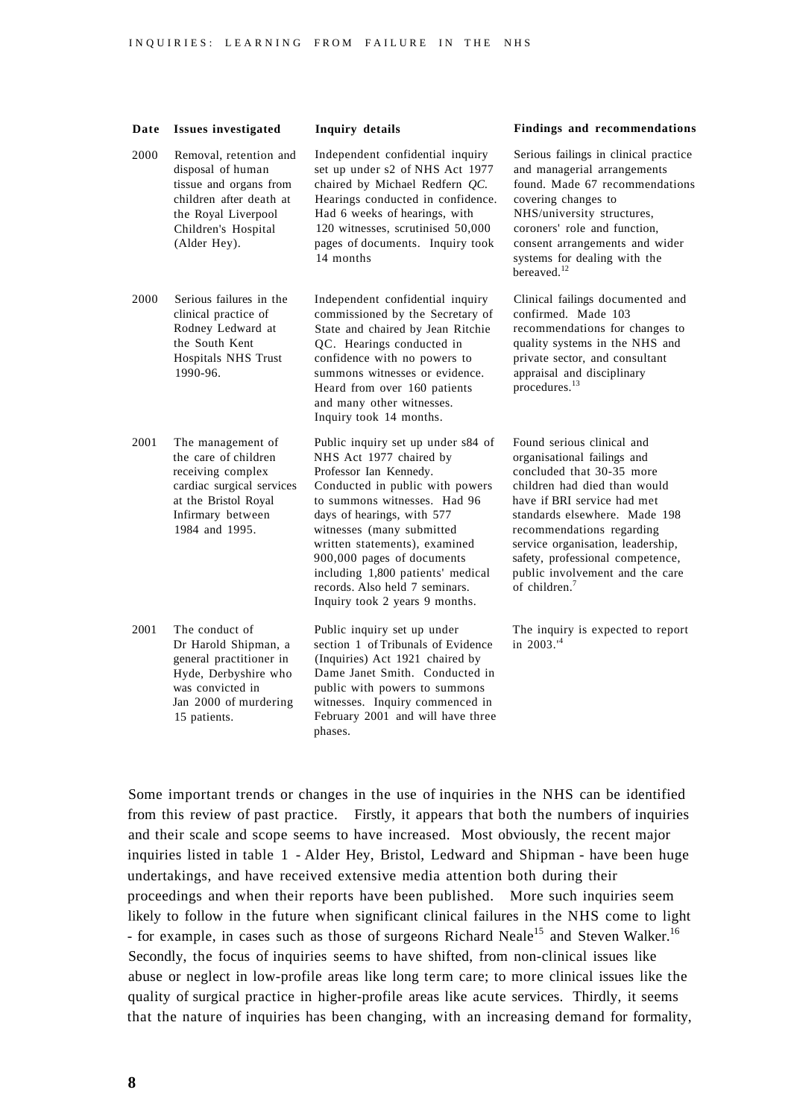| Date | <b>Issues investigated</b>                                                                                                                                     | Inquiry details                                                                                                                                                                                                                                                                                                                                                                               | Findings and recommendations                                                                                                                                                                                                                                                                                                                                 |
|------|----------------------------------------------------------------------------------------------------------------------------------------------------------------|-----------------------------------------------------------------------------------------------------------------------------------------------------------------------------------------------------------------------------------------------------------------------------------------------------------------------------------------------------------------------------------------------|--------------------------------------------------------------------------------------------------------------------------------------------------------------------------------------------------------------------------------------------------------------------------------------------------------------------------------------------------------------|
| 2000 | Removal, retention and<br>disposal of human<br>tissue and organs from<br>children after death at<br>the Royal Liverpool<br>Children's Hospital<br>(Alder Hey). | Independent confidential inquiry<br>set up under s2 of NHS Act 1977<br>chaired by Michael Redfern QC.<br>Hearings conducted in confidence.<br>Had 6 weeks of hearings, with<br>120 witnesses, scrutinised 50,000<br>pages of documents. Inquiry took<br>14 months                                                                                                                             | Serious failings in clinical practice<br>and managerial arrangements<br>found. Made 67 recommendations<br>covering changes to<br>NHS/university structures,<br>coroners' role and function.<br>consent arrangements and wider<br>systems for dealing with the<br>bereaved. <sup>12</sup>                                                                     |
| 2000 | Serious failures in the<br>clinical practice of<br>Rodney Ledward at<br>the South Kent<br>Hospitals NHS Trust<br>1990-96.                                      | Independent confidential inquiry<br>commissioned by the Secretary of<br>State and chaired by Jean Ritchie<br>QC. Hearings conducted in<br>confidence with no powers to<br>summons witnesses or evidence.<br>Heard from over 160 patients<br>and many other witnesses.<br>Inquiry took 14 months.                                                                                              | Clinical failings documented and<br>confirmed. Made 103<br>recommendations for changes to<br>quality systems in the NHS and<br>private sector, and consultant<br>appraisal and disciplinary<br>procedures. <sup>13</sup>                                                                                                                                     |
| 2001 | The management of<br>the care of children<br>receiving complex<br>cardiac surgical services<br>at the Bristol Royal<br>Infirmary between<br>1984 and 1995.     | Public inquiry set up under s84 of<br>NHS Act 1977 chaired by<br>Professor Ian Kennedy.<br>Conducted in public with powers<br>to summons witnesses. Had 96<br>days of hearings, with 577<br>witnesses (many submitted<br>written statements), examined<br>900,000 pages of documents<br>including 1,800 patients' medical<br>records. Also held 7 seminars.<br>Inquiry took 2 years 9 months. | Found serious clinical and<br>organisational failings and<br>concluded that 30-35 more<br>children had died than would<br>have if BRI service had met<br>standards elsewhere. Made 198<br>recommendations regarding<br>service organisation, leadership,<br>safety, professional competence,<br>public involvement and the care<br>of children. <sup>7</sup> |
| 2001 | The conduct of<br>Dr Harold Shipman, a<br>general practitioner in<br>Hyde, Derbyshire who<br>was convicted in<br>Jan 2000 of murdering<br>15 patients.         | Public inquiry set up under<br>section 1 of Tribunals of Evidence<br>(Inquiries) Act 1921 chaired by<br>Dame Janet Smith. Conducted in<br>public with powers to summons<br>witnesses. Inquiry commenced in<br>February 2001 and will have three<br>phases.                                                                                                                                    | The inquiry is expected to report<br>in 2003.' <sup>4</sup>                                                                                                                                                                                                                                                                                                  |

Some important trends or changes in the use of inquiries in the NHS can be identified from this review of past practice. Firstly, it appears that both the numbers of inquiries and their scale and scope seems to have increased. Most obviously, the recent major inquiries listed in table 1 - Alder Hey, Bristol, Ledward and Shipman - have been huge undertakings, and have received extensive media attention both during their proceedings and when their reports have been published. More such inquiries seem likely to follow in the future when significant clinical failures in the NHS come to light - for example, in cases such as those of surgeons Richard Neale<sup>15</sup> and Steven Walker.<sup>16</sup> Secondly, the focus of inquiries seems to have shifted, from non-clinical issues like abuse or neglect in low-profile areas like long term care; to more clinical issues like the quality of surgical practice in higher-profile areas like acute services. Thirdly, it seems that the nature of inquiries has been changing, with an increasing demand for formality,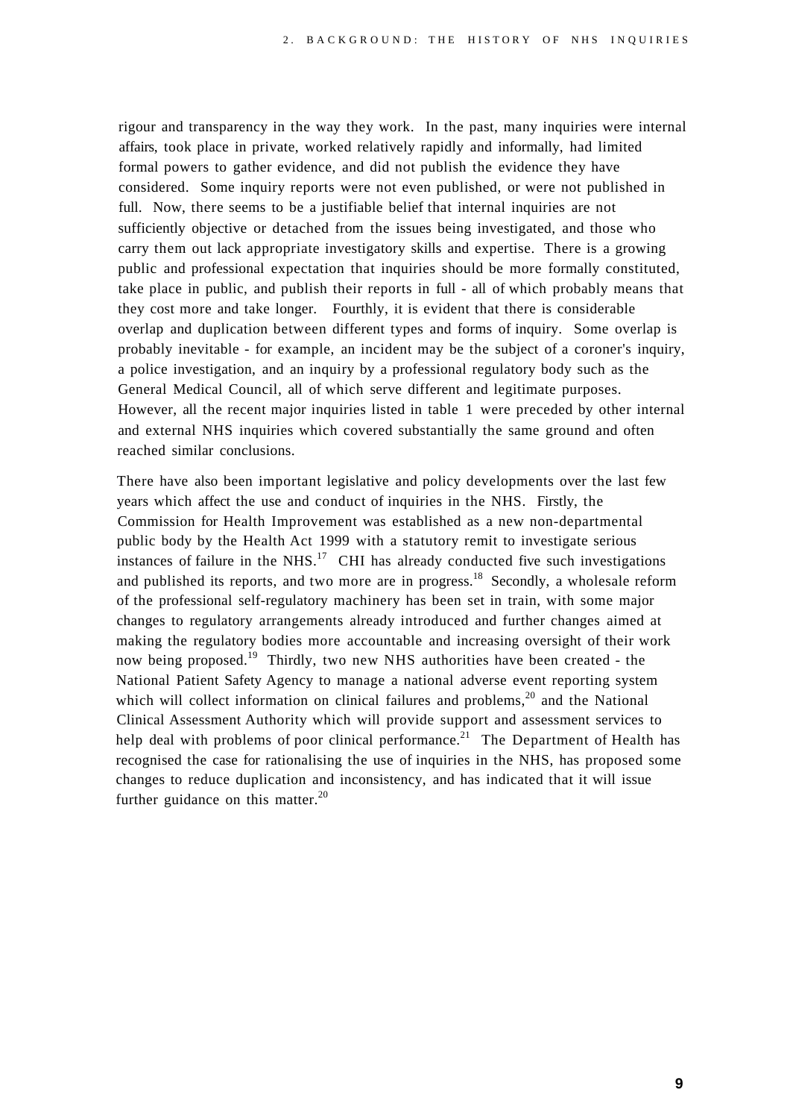rigour and transparency in the way they work. In the past, many inquiries were internal affairs, took place in private, worked relatively rapidly and informally, had limited formal powers to gather evidence, and did not publish the evidence they have considered. Some inquiry reports were not even published, or were not published in full. Now, there seems to be a justifiable belief that internal inquiries are not sufficiently objective or detached from the issues being investigated, and those who carry them out lack appropriate investigatory skills and expertise. There is a growing public and professional expectation that inquiries should be more formally constituted, take place in public, and publish their reports in full - all of which probably means that they cost more and take longer. Fourthly, it is evident that there is considerable overlap and duplication between different types and forms of inquiry. Some overlap is probably inevitable - for example, an incident may be the subject of a coroner's inquiry, a police investigation, and an inquiry by a professional regulatory body such as the General Medical Council, all of which serve different and legitimate purposes. However, all the recent major inquiries listed in table 1 were preceded by other internal and external NHS inquiries which covered substantially the same ground and often reached similar conclusions.

There have also been important legislative and policy developments over the last few years which affect the use and conduct of inquiries in the NHS. Firstly, the Commission for Health Improvement was established as a new non-departmental public body by the Health Act 1999 with a statutory remit to investigate serious instances of failure in the NHS. $17$  CHI has already conducted five such investigations and published its reports, and two more are in progress.<sup>18</sup> Secondly, a wholesale reform of the professional self-regulatory machinery has been set in train, with some major changes to regulatory arrangements already introduced and further changes aimed at making the regulatory bodies more accountable and increasing oversight of their work now being proposed.<sup>19</sup> Thirdly, two new NHS authorities have been created - the National Patient Safety Agency to manage a national adverse event reporting system which will collect information on clinical failures and problems, $20$  and the National Clinical Assessment Authority which will provide support and assessment services to help deal with problems of poor clinical performance.<sup>21</sup> The Department of Health has recognised the case for rationalising the use of inquiries in the NHS, has proposed some changes to reduce duplication and inconsistency, and has indicated that it will issue further guidance on this matter. $^{20}$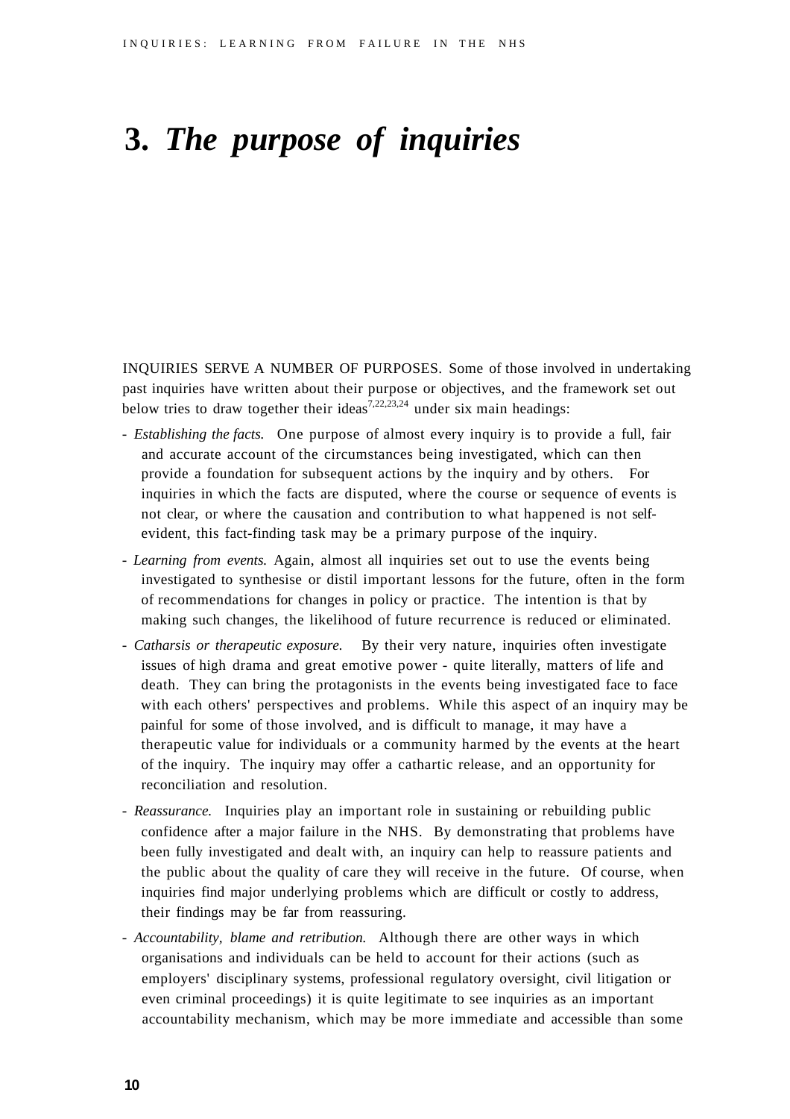# **3.** *The purpose of inquiries*

INQUIRIES SERVE A NUMBER OF PURPOSES. Some of those involved in undertaking past inquiries have written about their purpose or objectives, and the framework set out below tries to draw together their ideas<sup>7,22,23,24</sup> under six main headings:

- - *Establishing the facts.* One purpose of almost every inquiry is to provide a full, fair and accurate account of the circumstances being investigated, which can then provide a foundation for subsequent actions by the inquiry and by others. For inquiries in which the facts are disputed, where the course or sequence of events is not clear, or where the causation and contribution to what happened is not selfevident, this fact-finding task may be a primary purpose of the inquiry.
- - *Learning from events.* Again, almost all inquiries set out to use the events being investigated to synthesise or distil important lessons for the future, often in the form of recommendations for changes in policy or practice. The intention is that by making such changes, the likelihood of future recurrence is reduced or eliminated.
- - *Catharsis or therapeutic exposure.* By their very nature, inquiries often investigate issues of high drama and great emotive power - quite literally, matters of life and death. They can bring the protagonists in the events being investigated face to face with each others' perspectives and problems. While this aspect of an inquiry may be painful for some of those involved, and is difficult to manage, it may have a therapeutic value for individuals or a community harmed by the events at the heart of the inquiry. The inquiry may offer a cathartic release, and an opportunity for reconciliation and resolution.
- - *Reassurance.* Inquiries play an important role in sustaining or rebuilding public confidence after a major failure in the NHS. By demonstrating that problems have been fully investigated and dealt with, an inquiry can help to reassure patients and the public about the quality of care they will receive in the future. Of course, when inquiries find major underlying problems which are difficult or costly to address, their findings may be far from reassuring.
- - *Accountability, blame and retribution.* Although there are other ways in which organisations and individuals can be held to account for their actions (such as employers' disciplinary systems, professional regulatory oversight, civil litigation or even criminal proceedings) it is quite legitimate to see inquiries as an important accountability mechanism, which may be more immediate and accessible than some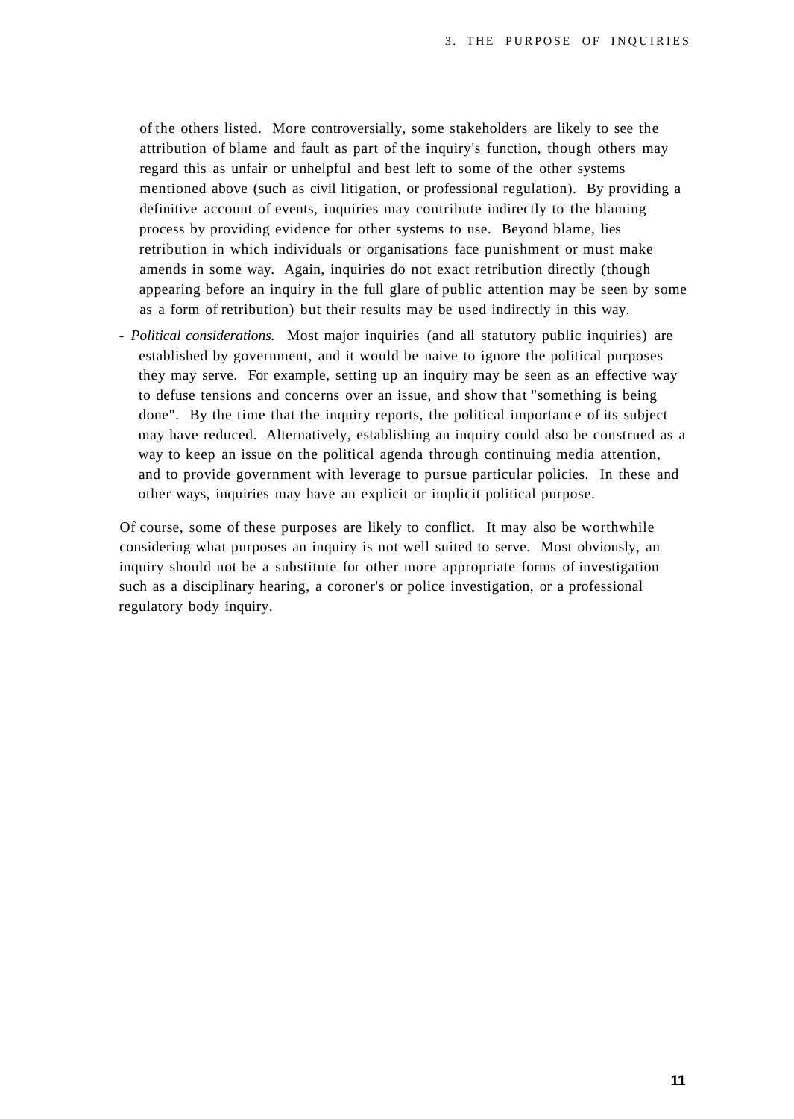of the others listed. More controversially, some stakeholders are likely to see the attribution of blame and fault as part of the inquiry's function, though others may regard this as unfair or unhelpful and best left to some of the other systems mentioned above (such as civil litigation, or professional regulation). By providing a definitive account of events, inquiries may contribute indirectly to the blaming process by providing evidence for other systems to use. Beyond blame, lies retribution in which individuals or organisations face punishment or must make amends in some way. Again, inquiries do not exact retribution directly (though appearing before an inquiry in the full glare of public attention may be seen by some as a form of retribution) but their results may be used indirectly in this way.

- *Political considerations.* Most major inquiries (and all statutory public inquiries) are established by government, and it would be naive to ignore the political purposes they may serve. For example, setting up an inquiry may be seen as an effective way to defuse tensions and concerns over an issue, and show that "something is being done". By the time that the inquiry reports, the political importance of its subject may have reduced. Alternatively, establishing an inquiry could also be construed as a way to keep an issue on the political agenda through continuing media attention, and to provide government with leverage to pursue particular policies. In these and other ways, inquiries may have an explicit or implicit political purpose.

Of course, some of these purposes are likely to conflict. It may also be worthwhile considering what purposes an inquiry is not well suited to serve. Most obviously, an inquiry should not be a substitute for other more appropriate forms of investigation such as a disciplinary hearing, a coroner's or police investigation, or a professional regulatory body inquiry.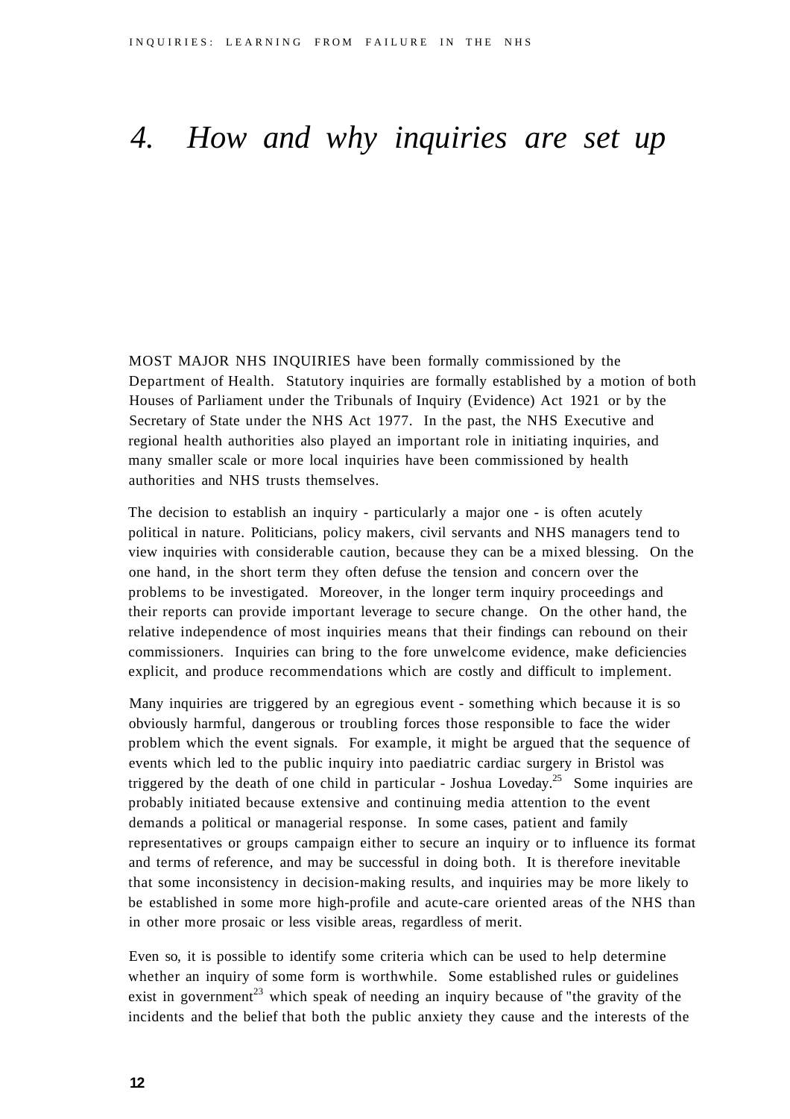### *4. How and why inquiries are set up*

MOST MAJOR NHS INQUIRIES have been formally commissioned by the Department of Health. Statutory inquiries are formally established by a motion of both Houses of Parliament under the Tribunals of Inquiry (Evidence) Act 1921 or by the Secretary of State under the NHS Act 1977. In the past, the NHS Executive and regional health authorities also played an important role in initiating inquiries, and many smaller scale or more local inquiries have been commissioned by health authorities and NHS trusts themselves.

The decision to establish an inquiry - particularly a major one - is often acutely political in nature. Politicians, policy makers, civil servants and NHS managers tend to view inquiries with considerable caution, because they can be a mixed blessing. On the one hand, in the short term they often defuse the tension and concern over the problems to be investigated. Moreover, in the longer term inquiry proceedings and their reports can provide important leverage to secure change. On the other hand, the relative independence of most inquiries means that their findings can rebound on their commissioners. Inquiries can bring to the fore unwelcome evidence, make deficiencies explicit, and produce recommendations which are costly and difficult to implement.

Many inquiries are triggered by an egregious event - something which because it is so obviously harmful, dangerous or troubling forces those responsible to face the wider problem which the event signals. For example, it might be argued that the sequence of events which led to the public inquiry into paediatric cardiac surgery in Bristol was triggered by the death of one child in particular - Joshua Loveday.<sup>25</sup> Some inquiries are probably initiated because extensive and continuing media attention to the event demands a political or managerial response. In some cases, patient and family representatives or groups campaign either to secure an inquiry or to influence its format and terms of reference, and may be successful in doing both. It is therefore inevitable that some inconsistency in decision-making results, and inquiries may be more likely to be established in some more high-profile and acute-care oriented areas of the NHS than in other more prosaic or less visible areas, regardless of merit.

Even so, it is possible to identify some criteria which can be used to help determine whether an inquiry of some form is worthwhile. Some established rules or guidelines exist in government<sup>23</sup> which speak of needing an inquiry because of "the gravity of the incidents and the belief that both the public anxiety they cause and the interests of the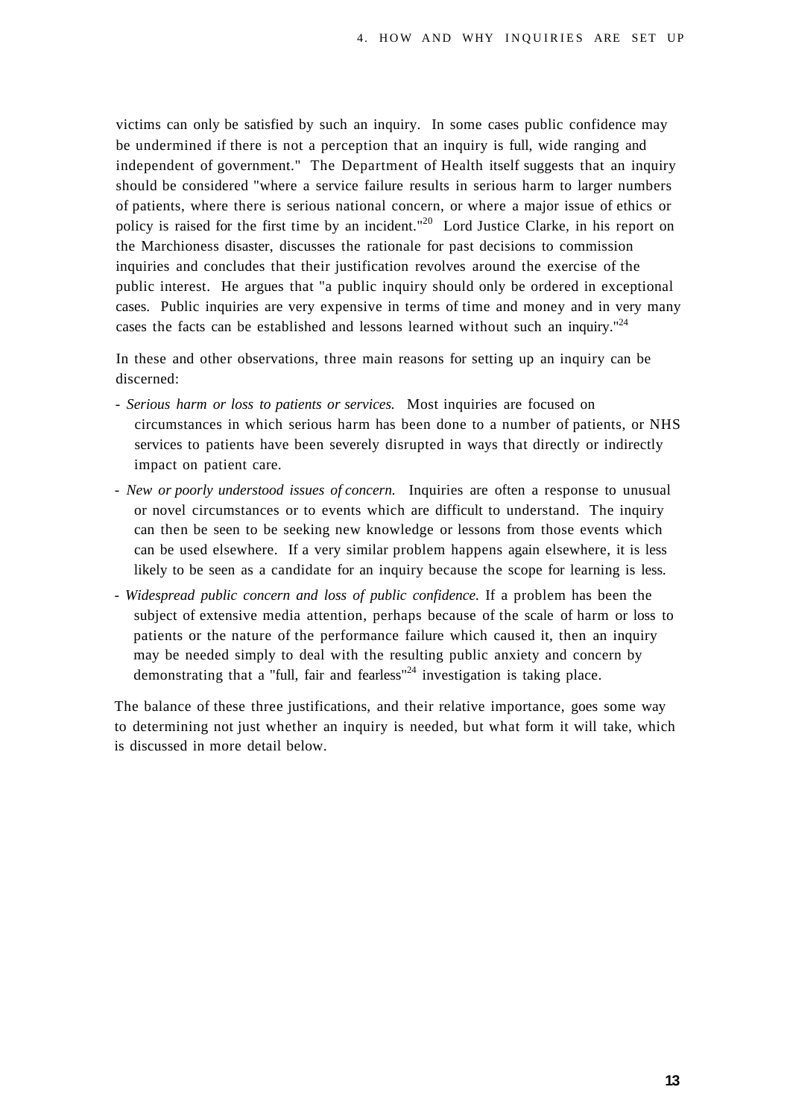victims can only be satisfied by such an inquiry. In some cases public confidence may be undermined if there is not a perception that an inquiry is full, wide ranging and independent of government." The Department of Health itself suggests that an inquiry should be considered "where a service failure results in serious harm to larger numbers of patients, where there is serious national concern, or where a major issue of ethics or policy is raised for the first time by an incident."<sup>20</sup> Lord Justice Clarke, in his report on the Marchioness disaster, discusses the rationale for past decisions to commission inquiries and concludes that their justification revolves around the exercise of the public interest. He argues that "a public inquiry should only be ordered in exceptional cases. Public inquiries are very expensive in terms of time and money and in very many cases the facts can be established and lessons learned without such an inquiry."<sup>24</sup>

In these and other observations, three main reasons for setting up an inquiry can be discerned:

- - *Serious harm or loss to patients or services.* Most inquiries are focused on circumstances in which serious harm has been done to a number of patients, or NHS services to patients have been severely disrupted in ways that directly or indirectly impact on patient care.
- - *New or poorly understood issues of concern.* Inquiries are often a response to unusual or novel circumstances or to events which are difficult to understand. The inquiry can then be seen to be seeking new knowledge or lessons from those events which can be used elsewhere. If a very similar problem happens again elsewhere, it is less likely to be seen as a candidate for an inquiry because the scope for learning is less.
- - *Widespread public concern and loss of public confidence.* If a problem has been the subject of extensive media attention, perhaps because of the scale of harm or loss to patients or the nature of the performance failure which caused it, then an inquiry may be needed simply to deal with the resulting public anxiety and concern by demonstrating that a "full, fair and fearless"<sup>24</sup> investigation is taking place.

The balance of these three justifications, and their relative importance, goes some way to determining not just whether an inquiry is needed, but what form it will take, which is discussed in more detail below.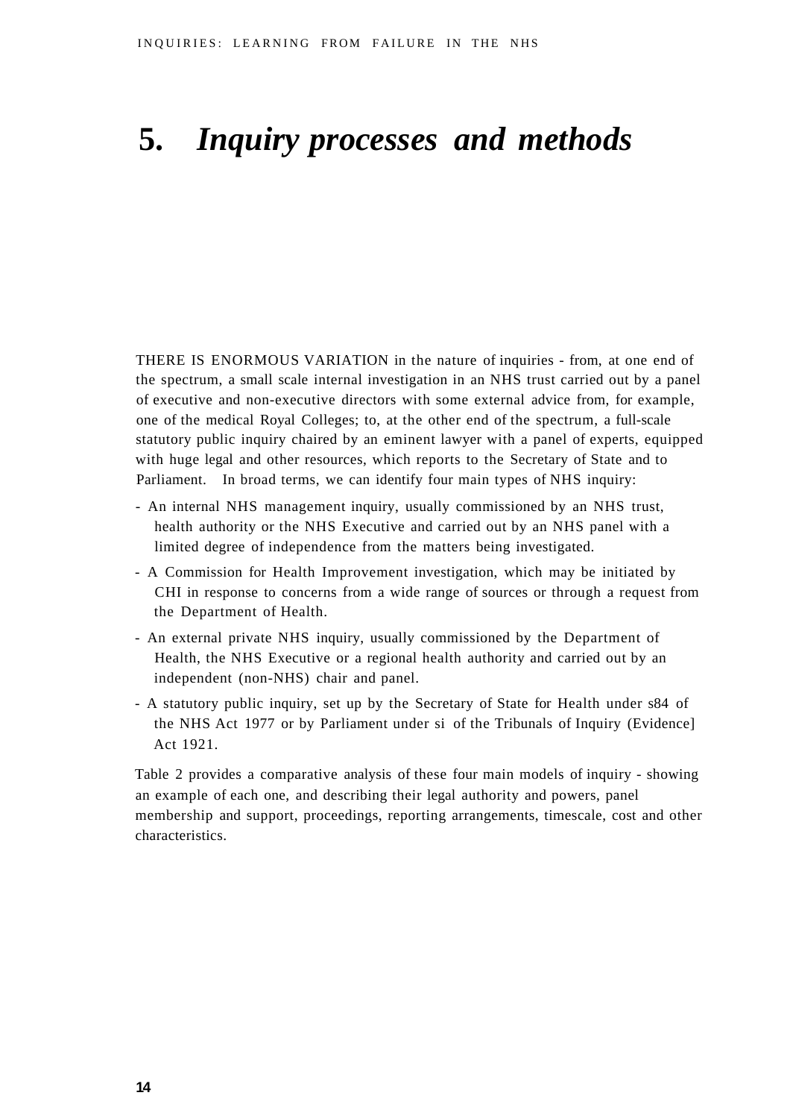# **5.** *Inquiry processes and methods*

THERE IS ENORMOUS VARIATION in the nature of inquiries - from, at one end of the spectrum, a small scale internal investigation in an NHS trust carried out by a panel of executive and non-executive directors with some external advice from, for example, one of the medical Royal Colleges; to, at the other end of the spectrum, a full-scale statutory public inquiry chaired by an eminent lawyer with a panel of experts, equipped with huge legal and other resources, which reports to the Secretary of State and to Parliament. In broad terms, we can identify four main types of NHS inquiry:

- An internal NHS management inquiry, usually commissioned by an NHS trust, health authority or the NHS Executive and carried out by an NHS panel with a limited degree of independence from the matters being investigated.
- A Commission for Health Improvement investigation, which may be initiated by CHI in response to concerns from a wide range of sources or through a request from the Department of Health.
- An external private NHS inquiry, usually commissioned by the Department of Health, the NHS Executive or a regional health authority and carried out by an independent (non-NHS) chair and panel.
- A statutory public inquiry, set up by the Secretary of State for Health under s84 of the NHS Act 1977 or by Parliament under si of the Tribunals of Inquiry (Evidence] Act 1921.

Table 2 provides a comparative analysis of these four main models of inquiry - showing an example of each one, and describing their legal authority and powers, panel membership and support, proceedings, reporting arrangements, timescale, cost and other characteristics.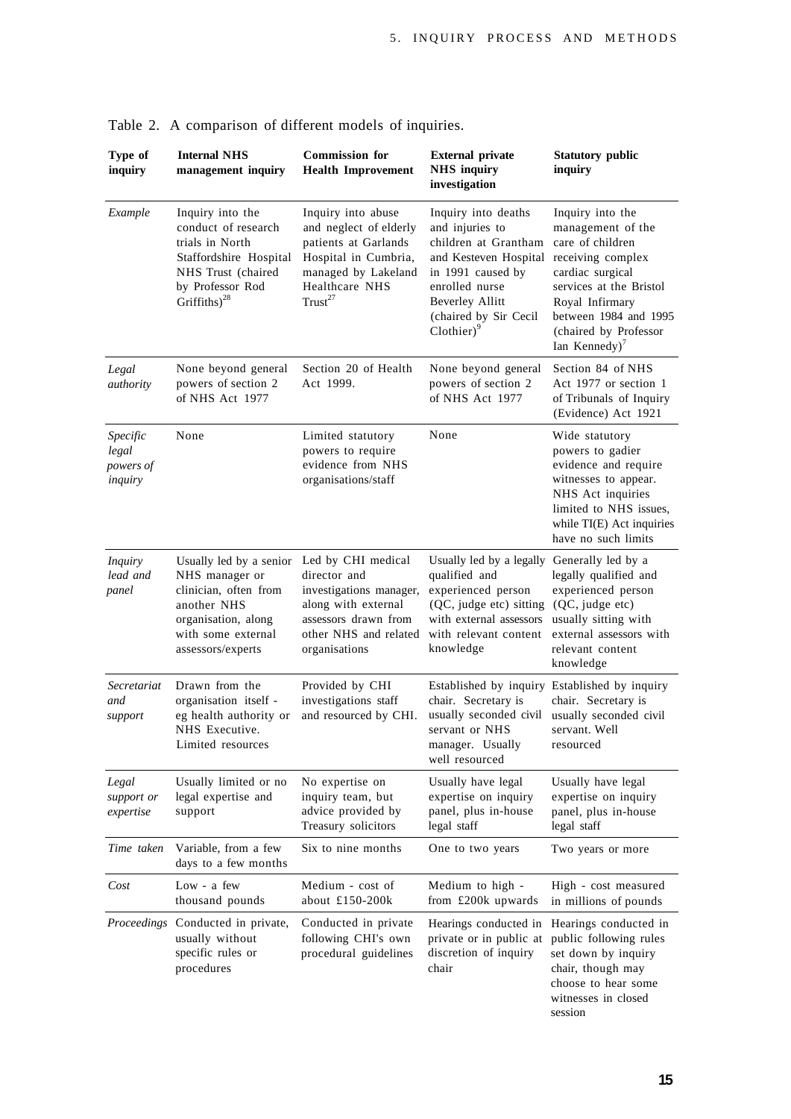| Type of<br>inquiry                        | <b>Internal NHS</b><br>management inquiry                                                                                                                              | <b>Commission</b> for<br><b>Health Improvement</b>                                                                                                    | <b>External private</b><br><b>NHS</b> inquiry<br>investigation                                                                                                                                    | <b>Statutory public</b><br>inquiry                                                                                                                                                                                              |
|-------------------------------------------|------------------------------------------------------------------------------------------------------------------------------------------------------------------------|-------------------------------------------------------------------------------------------------------------------------------------------------------|---------------------------------------------------------------------------------------------------------------------------------------------------------------------------------------------------|---------------------------------------------------------------------------------------------------------------------------------------------------------------------------------------------------------------------------------|
| Example                                   | Inquiry into the<br>conduct of research<br>trials in North<br>Staffordshire Hospital<br>NHS Trust (chaired<br>by Professor Rod<br>Griffiths) <sup>28</sup>             | Inquiry into abuse<br>and neglect of elderly<br>patients at Garlands<br>Hospital in Cumbria,<br>managed by Lakeland<br>Healthcare NHS<br>$Trust^{27}$ | Inquiry into deaths<br>and injuries to<br>children at Grantham<br>and Kesteven Hospital<br>in 1991 caused by<br>enrolled nurse<br><b>Beverley Allitt</b><br>(chaired by Sir Cecil<br>$Clother)^9$ | Inquiry into the<br>management of the<br>care of children<br>receiving complex<br>cardiac surgical<br>services at the Bristol<br>Royal Infirmary<br>between 1984 and 1995<br>(chaired by Professor<br>Ian Kennedy) <sup>7</sup> |
| Legal<br>authority                        | None beyond general<br>powers of section 2<br>of NHS Act 1977                                                                                                          | Section 20 of Health<br>Act 1999.                                                                                                                     | None beyond general<br>powers of section 2<br>of NHS Act 1977                                                                                                                                     | Section 84 of NHS<br>Act 1977 or section 1<br>of Tribunals of Inquiry<br>(Evidence) Act 1921                                                                                                                                    |
| Specific<br>legal<br>powers of<br>inquiry | None                                                                                                                                                                   | Limited statutory<br>powers to require<br>evidence from NHS<br>organisations/staff                                                                    | None                                                                                                                                                                                              | Wide statutory<br>powers to gadier<br>evidence and require<br>witnesses to appear.<br>NHS Act inquiries<br>limited to NHS issues.<br>while TI(E) Act inquiries<br>have no such limits                                           |
| <b>Inquiry</b><br>lead and<br>panel       | Usually led by a senior Led by CHI medical<br>NHS manager or<br>clinician, often from<br>another NHS<br>organisation, along<br>with some external<br>assessors/experts | director and<br>investigations manager,<br>along with external<br>assessors drawn from<br>other NHS and related<br>organisations                      | Usually led by a legally<br>qualified and<br>experienced person<br>(QC, judge etc) sitting<br>with external assessors<br>with relevant content<br>knowledge                                       | Generally led by a<br>legally qualified and<br>experienced person<br>(QC, judge etc)<br>usually sitting with<br>external assessors with<br>relevant content<br>knowledge                                                        |
| Secretariat<br>and<br>support             | Drawn from the<br>organisation itself -<br>eg health authority or<br>NHS Executive.<br>Limited resources                                                               | Provided by CHI<br>investigations staff<br>and resourced by CHI.                                                                                      | Established by inquiry<br>chair. Secretary is<br>usually seconded civil<br>servant or NHS<br>manager. Usually<br>well resourced                                                                   | Established by inquiry<br>chair. Secretary is<br>usually seconded civil<br>servant. Well<br>resourced                                                                                                                           |
| Legal<br>support or<br>expertise          | Usually limited or no<br>legal expertise and<br>support                                                                                                                | No expertise on<br>inquiry team, but<br>advice provided by<br>Treasury solicitors                                                                     | Usually have legal<br>expertise on inquiry<br>panel, plus in-house<br>legal staff                                                                                                                 | Usually have legal<br>expertise on inquiry<br>panel, plus in-house<br>legal staff                                                                                                                                               |
| Time taken                                | Variable, from a few<br>days to a few months                                                                                                                           | Six to nine months                                                                                                                                    | One to two years                                                                                                                                                                                  | Two years or more                                                                                                                                                                                                               |
| Cost                                      | Low - a few<br>thousand pounds                                                                                                                                         | Medium - cost of<br>about £150-200k                                                                                                                   | Medium to high -<br>from £200k upwards                                                                                                                                                            | High - cost measured<br>in millions of pounds                                                                                                                                                                                   |
|                                           | Proceedings Conducted in private,<br>usually without<br>specific rules or<br>procedures                                                                                | Conducted in private<br>following CHI's own<br>procedural guidelines                                                                                  | Hearings conducted in<br>private or in public at<br>discretion of inquiry<br>chair                                                                                                                | Hearings conducted in<br>public following rules<br>set down by inquiry<br>chair, though may<br>choose to hear some<br>witnesses in closed<br>session                                                                            |

Table 2. A comparison of different models of inquiries.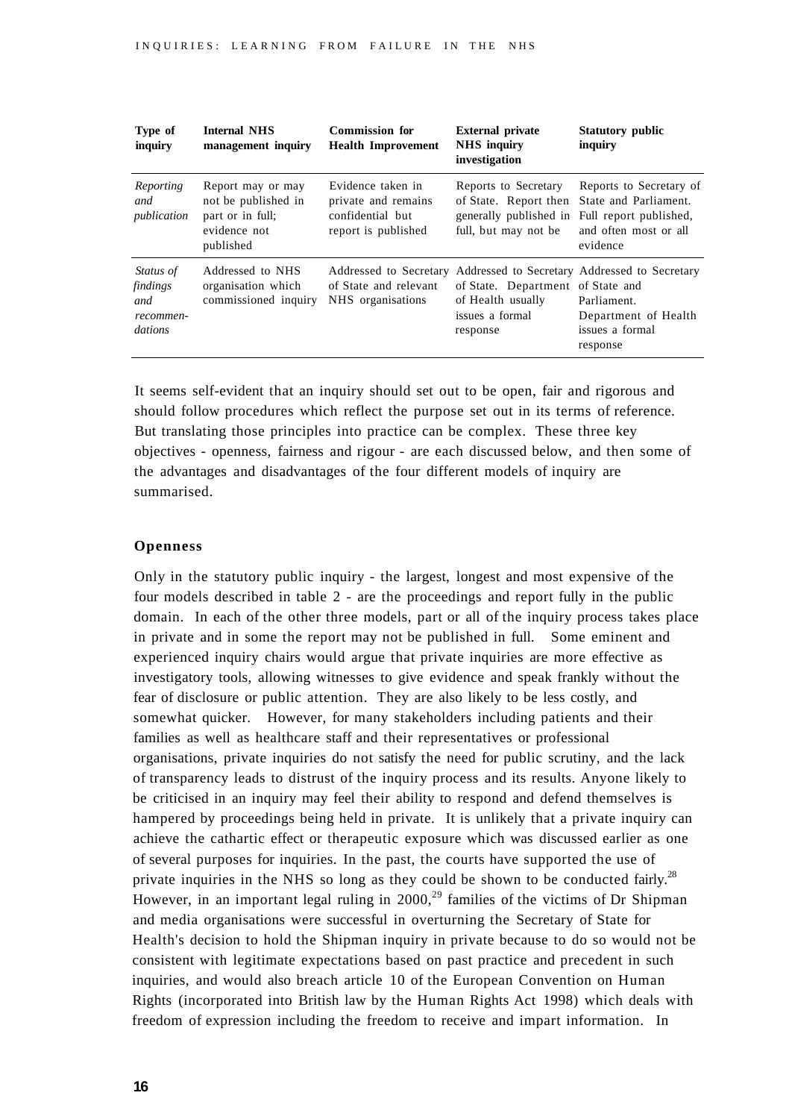| Type of<br>inquiry                                   | <b>Internal NHS</b><br>management inquiry                                                 | <b>Commission for</b><br><b>Health Improvement</b>                                  | <b>External private</b><br><b>NHS</b> inquiry<br>investigation                                  | <b>Statutory public</b><br>inquiry                                                                                  |
|------------------------------------------------------|-------------------------------------------------------------------------------------------|-------------------------------------------------------------------------------------|-------------------------------------------------------------------------------------------------|---------------------------------------------------------------------------------------------------------------------|
| Reporting<br>and<br>publication                      | Report may or may<br>not be published in<br>part or in full;<br>evidence not<br>published | Evidence taken in<br>private and remains<br>confidential but<br>report is published | Reports to Secretary<br>of State. Report then<br>generally published in<br>full, but may not be | Reports to Secretary of<br>State and Parliament.<br>Full report published,<br>and often most or all<br>evidence     |
| Status of<br>findings<br>and<br>recommen-<br>dations | Addressed to NHS<br>organisation which<br>commissioned inquiry                            | Addressed to Secretary<br>of State and relevant<br>NHS organisations                | of State. Department of State and<br>of Health usually<br>issues a formal<br>response           | Addressed to Secretary Addressed to Secretary<br>Parliament.<br>Department of Health<br>issues a formal<br>response |

It seems self-evident that an inquiry should set out to be open, fair and rigorous and should follow procedures which reflect the purpose set out in its terms of reference. But translating those principles into practice can be complex. These three key objectives - openness, fairness and rigour - are each discussed below, and then some of the advantages and disadvantages of the four different models of inquiry are summarised.

#### **Openness**

Only in the statutory public inquiry - the largest, longest and most expensive of the four models described in table 2 - are the proceedings and report fully in the public domain. In each of the other three models, part or all of the inquiry process takes place in private and in some the report may not be published in full. Some eminent and experienced inquiry chairs would argue that private inquiries are more effective as investigatory tools, allowing witnesses to give evidence and speak frankly without the fear of disclosure or public attention. They are also likely to be less costly, and somewhat quicker. However, for many stakeholders including patients and their families as well as healthcare staff and their representatives or professional organisations, private inquiries do not satisfy the need for public scrutiny, and the lack of transparency leads to distrust of the inquiry process and its results. Anyone likely to be criticised in an inquiry may feel their ability to respond and defend themselves is hampered by proceedings being held in private. It is unlikely that a private inquiry can achieve the cathartic effect or therapeutic exposure which was discussed earlier as one of several purposes for inquiries. In the past, the courts have supported the use of private inquiries in the NHS so long as they could be shown to be conducted fairly.<sup>28</sup> However, in an important legal ruling in  $2000<sup>29</sup>$  families of the victims of Dr Shipman and media organisations were successful in overturning the Secretary of State for Health's decision to hold the Shipman inquiry in private because to do so would not be consistent with legitimate expectations based on past practice and precedent in such inquiries, and would also breach article 10 of the European Convention on Human Rights (incorporated into British law by the Human Rights Act 1998) which deals with freedom of expression including the freedom to receive and impart information. In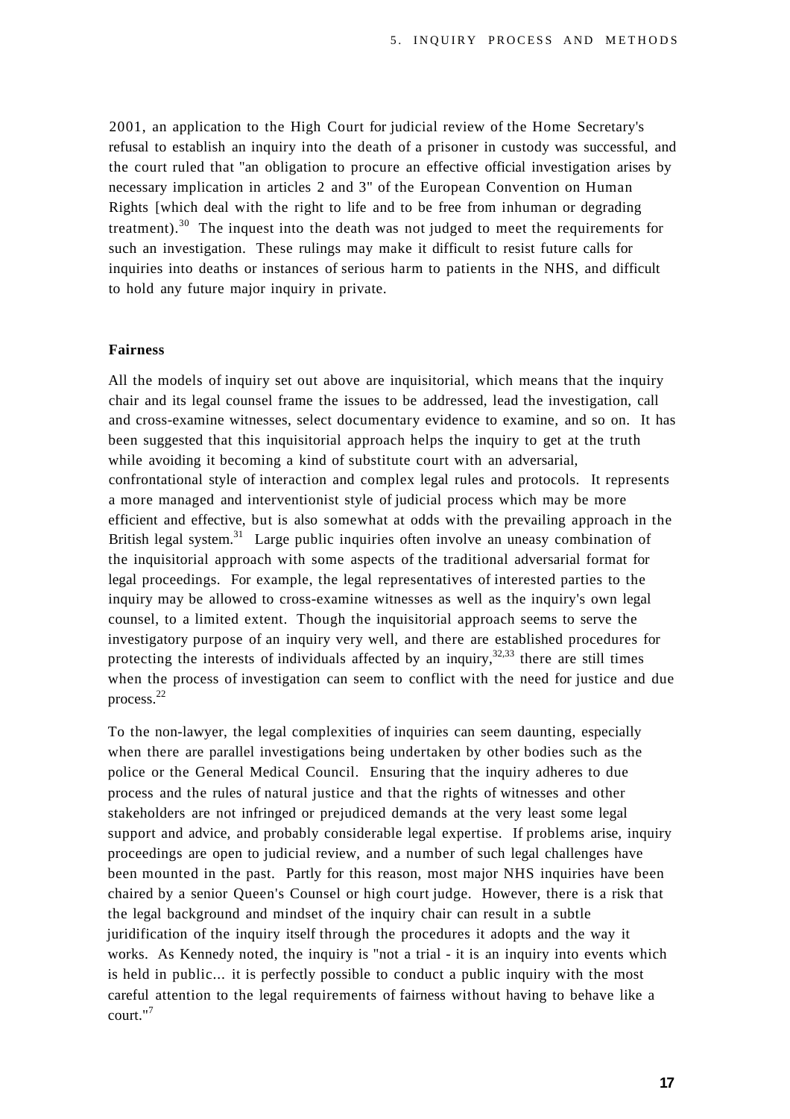2001, an application to the High Court for judicial review of the Home Secretary's refusal to establish an inquiry into the death of a prisoner in custody was successful, and the court ruled that "an obligation to procure an effective official investigation arises by necessary implication in articles 2 and 3" of the European Convention on Human Rights [which deal with the right to life and to be free from inhuman or degrading treatment).<sup>30</sup> The inquest into the death was not judged to meet the requirements for such an investigation. These rulings may make it difficult to resist future calls for inquiries into deaths or instances of serious harm to patients in the NHS, and difficult to hold any future major inquiry in private.

#### **Fairness**

All the models of inquiry set out above are inquisitorial, which means that the inquiry chair and its legal counsel frame the issues to be addressed, lead the investigation, call and cross-examine witnesses, select documentary evidence to examine, and so on. It has been suggested that this inquisitorial approach helps the inquiry to get at the truth while avoiding it becoming a kind of substitute court with an adversarial, confrontational style of interaction and complex legal rules and protocols. It represents a more managed and interventionist style of judicial process which may be more efficient and effective, but is also somewhat at odds with the prevailing approach in the British legal system.<sup>31</sup> Large public inquiries often involve an uneasy combination of the inquisitorial approach with some aspects of the traditional adversarial format for legal proceedings. For example, the legal representatives of interested parties to the inquiry may be allowed to cross-examine witnesses as well as the inquiry's own legal counsel, to a limited extent. Though the inquisitorial approach seems to serve the investigatory purpose of an inquiry very well, and there are established procedures for protecting the interests of individuals affected by an inquiry,  $32,333$  there are still times when the process of investigation can seem to conflict with the need for justice and due process.<sup>22</sup>

To the non-lawyer, the legal complexities of inquiries can seem daunting, especially when there are parallel investigations being undertaken by other bodies such as the police or the General Medical Council. Ensuring that the inquiry adheres to due process and the rules of natural justice and that the rights of witnesses and other stakeholders are not infringed or prejudiced demands at the very least some legal support and advice, and probably considerable legal expertise. If problems arise, inquiry proceedings are open to judicial review, and a number of such legal challenges have been mounted in the past. Partly for this reason, most major NHS inquiries have been chaired by a senior Queen's Counsel or high court judge. However, there is a risk that the legal background and mindset of the inquiry chair can result in a subtle juridification of the inquiry itself through the procedures it adopts and the way it works. As Kennedy noted, the inquiry is "not a trial - it is an inquiry into events which is held in public... it is perfectly possible to conduct a public inquiry with the most careful attention to the legal requirements of fairness without having to behave like a court."<sup>7</sup>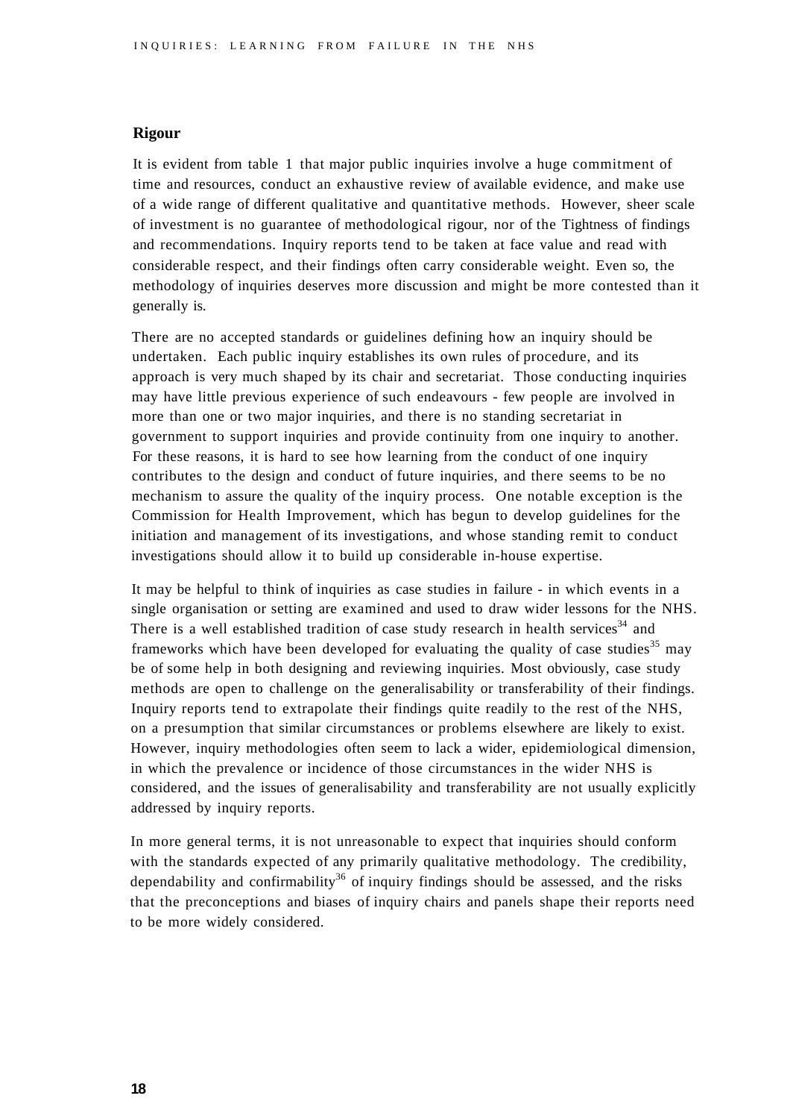### **Rigour**

It is evident from table 1 that major public inquiries involve a huge commitment of time and resources, conduct an exhaustive review of available evidence, and make use of a wide range of different qualitative and quantitative methods. However, sheer scale of investment is no guarantee of methodological rigour, nor of the Tightness of findings and recommendations. Inquiry reports tend to be taken at face value and read with considerable respect, and their findings often carry considerable weight. Even so, the methodology of inquiries deserves more discussion and might be more contested than it generally is.

There are no accepted standards or guidelines defining how an inquiry should be undertaken. Each public inquiry establishes its own rules of procedure, and its approach is very much shaped by its chair and secretariat. Those conducting inquiries may have little previous experience of such endeavours - few people are involved in more than one or two major inquiries, and there is no standing secretariat in government to support inquiries and provide continuity from one inquiry to another. For these reasons, it is hard to see how learning from the conduct of one inquiry contributes to the design and conduct of future inquiries, and there seems to be no mechanism to assure the quality of the inquiry process. One notable exception is the Commission for Health Improvement, which has begun to develop guidelines for the initiation and management of its investigations, and whose standing remit to conduct investigations should allow it to build up considerable in-house expertise.

It may be helpful to think of inquiries as case studies in failure - in which events in a single organisation or setting are examined and used to draw wider lessons for the NHS. There is a well established tradition of case study research in health services<sup>34</sup> and frameworks which have been developed for evaluating the quality of case studies<sup>35</sup> may be of some help in both designing and reviewing inquiries. Most obviously, case study methods are open to challenge on the generalisability or transferability of their findings. Inquiry reports tend to extrapolate their findings quite readily to the rest of the NHS, on a presumption that similar circumstances or problems elsewhere are likely to exist. However, inquiry methodologies often seem to lack a wider, epidemiological dimension, in which the prevalence or incidence of those circumstances in the wider NHS is considered, and the issues of generalisability and transferability are not usually explicitly addressed by inquiry reports.

In more general terms, it is not unreasonable to expect that inquiries should conform with the standards expected of any primarily qualitative methodology. The credibility, dependability and confirmability<sup>36</sup> of inquiry findings should be assessed, and the risks that the preconceptions and biases of inquiry chairs and panels shape their reports need to be more widely considered.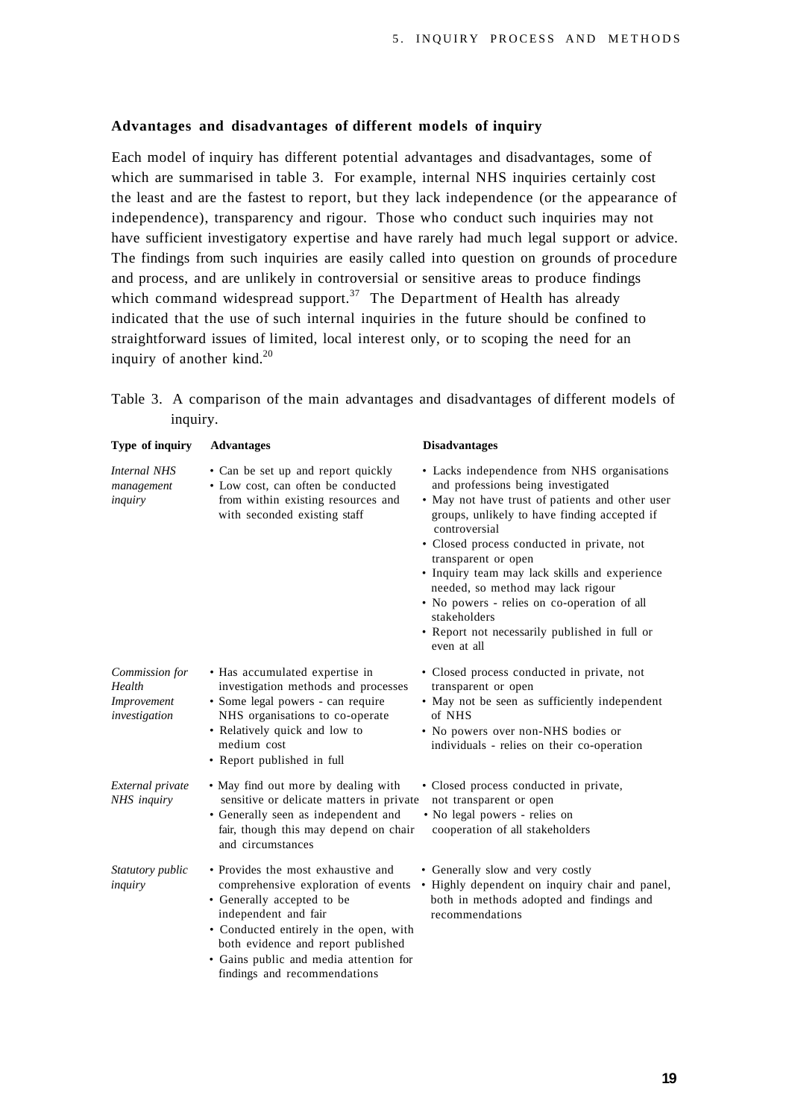#### **Advantages and disadvantages of different models of inquiry**

Each model of inquiry has different potential advantages and disadvantages, some of which are summarised in table 3. For example, internal NHS inquiries certainly cost the least and are the fastest to report, but they lack independence (or the appearance of independence), transparency and rigour. Those who conduct such inquiries may not have sufficient investigatory expertise and have rarely had much legal support or advice. The findings from such inquiries are easily called into question on grounds of procedure and process, and are unlikely in controversial or sensitive areas to produce findings which command widespread support.<sup>37</sup> The Department of Health has already indicated that the use of such internal inquiries in the future should be confined to straightforward issues of limited, local interest only, or to scoping the need for an inquiry of another kind. $20$ 

Table 3. A comparison of the main advantages and disadvantages of different models of inquiry.

| Type of inquiry                                          | <b>Advantages</b>                                                                                                                                                                                                                                                                         | <b>Disadvantages</b>                                                                                                                                                                                                                                                                                                                                                                                                                                                                            |
|----------------------------------------------------------|-------------------------------------------------------------------------------------------------------------------------------------------------------------------------------------------------------------------------------------------------------------------------------------------|-------------------------------------------------------------------------------------------------------------------------------------------------------------------------------------------------------------------------------------------------------------------------------------------------------------------------------------------------------------------------------------------------------------------------------------------------------------------------------------------------|
| <b>Internal NHS</b><br>management<br>inquiry             | • Can be set up and report quickly<br>• Low cost, can often be conducted<br>from within existing resources and<br>with seconded existing staff                                                                                                                                            | • Lacks independence from NHS organisations<br>and professions being investigated<br>• May not have trust of patients and other user<br>groups, unlikely to have finding accepted if<br>controversial<br>· Closed process conducted in private, not<br>transparent or open<br>• Inquiry team may lack skills and experience<br>needed, so method may lack rigour<br>• No powers - relies on co-operation of all<br>stakeholders<br>• Report not necessarily published in full or<br>even at all |
| Commission for<br>Health<br>Improvement<br>investigation | • Has accumulated expertise in<br>investigation methods and processes<br>· Some legal powers - can require<br>NHS organisations to co-operate<br>• Relatively quick and low to<br>medium cost<br>• Report published in full                                                               | · Closed process conducted in private, not<br>transparent or open<br>• May not be seen as sufficiently independent<br>of NHS<br>• No powers over non-NHS bodies or<br>individuals - relies on their co-operation                                                                                                                                                                                                                                                                                |
| External private<br>NHS inquiry                          | • May find out more by dealing with<br>sensitive or delicate matters in private<br>• Generally seen as independent and<br>fair, though this may depend on chair<br>and circumstances                                                                                                      | • Closed process conducted in private,<br>not transparent or open<br>• No legal powers - relies on<br>cooperation of all stakeholders                                                                                                                                                                                                                                                                                                                                                           |
| Statutory public<br>inquiry                              | • Provides the most exhaustive and<br>comprehensive exploration of events<br>• Generally accepted to be<br>independent and fair<br>• Conducted entirely in the open, with<br>both evidence and report published<br>· Gains public and media attention for<br>findings and recommendations | • Generally slow and very costly<br>• Highly dependent on inquiry chair and panel,<br>both in methods adopted and findings and<br>recommendations                                                                                                                                                                                                                                                                                                                                               |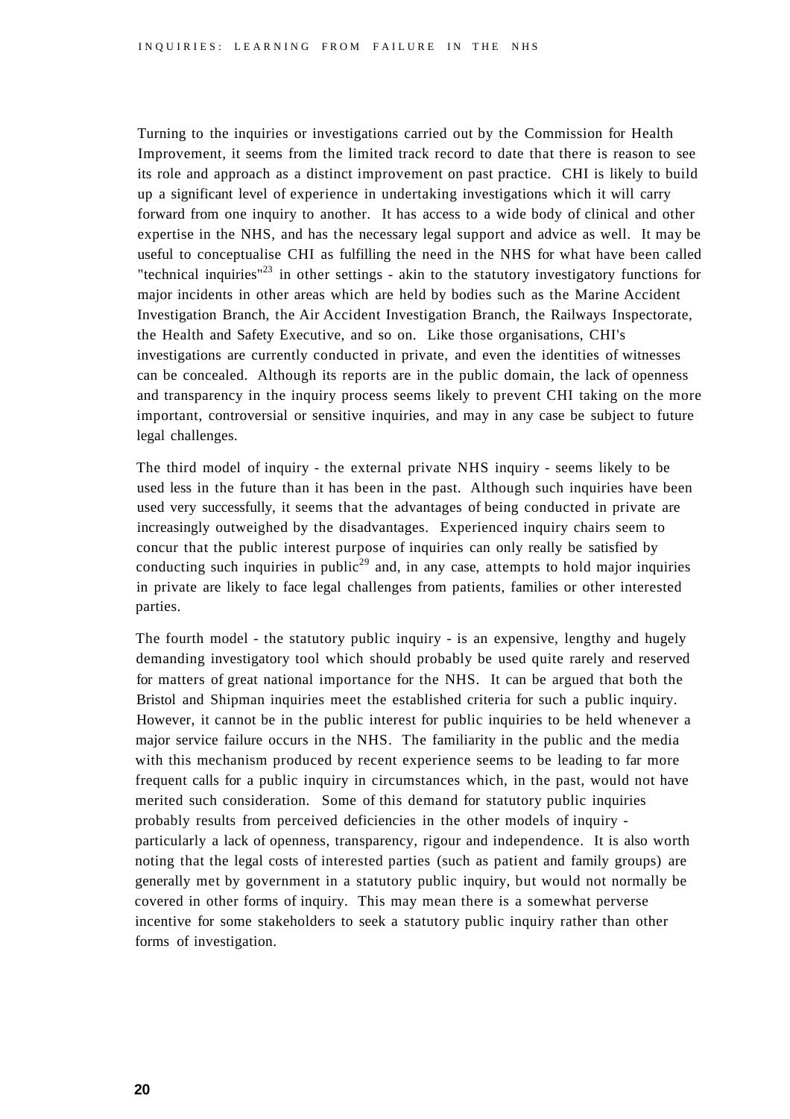Turning to the inquiries or investigations carried out by the Commission for Health Improvement, it seems from the limited track record to date that there is reason to see its role and approach as a distinct improvement on past practice. CHI is likely to build up a significant level of experience in undertaking investigations which it will carry forward from one inquiry to another. It has access to a wide body of clinical and other expertise in the NHS, and has the necessary legal support and advice as well. It may be useful to conceptualise CHI as fulfilling the need in the NHS for what have been called "technical inquiries"<sup>23</sup> in other settings - akin to the statutory investigatory functions for major incidents in other areas which are held by bodies such as the Marine Accident Investigation Branch, the Air Accident Investigation Branch, the Railways Inspectorate, the Health and Safety Executive, and so on. Like those organisations, CHI's investigations are currently conducted in private, and even the identities of witnesses can be concealed. Although its reports are in the public domain, the lack of openness and transparency in the inquiry process seems likely to prevent CHI taking on the more important, controversial or sensitive inquiries, and may in any case be subject to future legal challenges.

The third model of inquiry - the external private NHS inquiry - seems likely to be used less in the future than it has been in the past. Although such inquiries have been used very successfully, it seems that the advantages of being conducted in private are increasingly outweighed by the disadvantages. Experienced inquiry chairs seem to concur that the public interest purpose of inquiries can only really be satisfied by conducting such inquiries in public<sup>29</sup> and, in any case, attempts to hold major inquiries in private are likely to face legal challenges from patients, families or other interested parties.

The fourth model - the statutory public inquiry - is an expensive, lengthy and hugely demanding investigatory tool which should probably be used quite rarely and reserved for matters of great national importance for the NHS. It can be argued that both the Bristol and Shipman inquiries meet the established criteria for such a public inquiry. However, it cannot be in the public interest for public inquiries to be held whenever a major service failure occurs in the NHS. The familiarity in the public and the media with this mechanism produced by recent experience seems to be leading to far more frequent calls for a public inquiry in circumstances which, in the past, would not have merited such consideration. Some of this demand for statutory public inquiries probably results from perceived deficiencies in the other models of inquiry particularly a lack of openness, transparency, rigour and independence. It is also worth noting that the legal costs of interested parties (such as patient and family groups) are generally met by government in a statutory public inquiry, but would not normally be covered in other forms of inquiry. This may mean there is a somewhat perverse incentive for some stakeholders to seek a statutory public inquiry rather than other forms of investigation.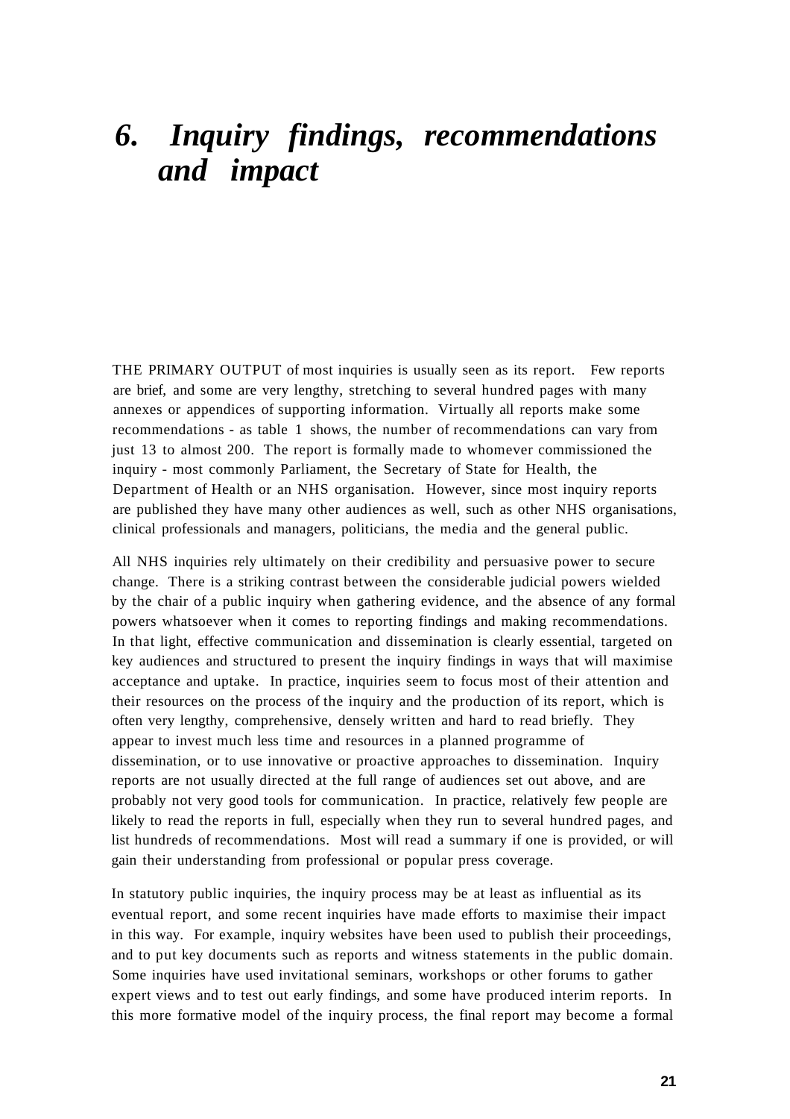### *6. Inquiry findings, recommendations and impact*

THE PRIMARY OUTPUT of most inquiries is usually seen as its report. Few reports are brief, and some are very lengthy, stretching to several hundred pages with many annexes or appendices of supporting information. Virtually all reports make some recommendations - as table 1 shows, the number of recommendations can vary from just 13 to almost 200. The report is formally made to whomever commissioned the inquiry - most commonly Parliament, the Secretary of State for Health, the Department of Health or an NHS organisation. However, since most inquiry reports are published they have many other audiences as well, such as other NHS organisations, clinical professionals and managers, politicians, the media and the general public.

All NHS inquiries rely ultimately on their credibility and persuasive power to secure change. There is a striking contrast between the considerable judicial powers wielded by the chair of a public inquiry when gathering evidence, and the absence of any formal powers whatsoever when it comes to reporting findings and making recommendations. In that light, effective communication and dissemination is clearly essential, targeted on key audiences and structured to present the inquiry findings in ways that will maximise acceptance and uptake. In practice, inquiries seem to focus most of their attention and their resources on the process of the inquiry and the production of its report, which is often very lengthy, comprehensive, densely written and hard to read briefly. They appear to invest much less time and resources in a planned programme of dissemination, or to use innovative or proactive approaches to dissemination. Inquiry reports are not usually directed at the full range of audiences set out above, and are probably not very good tools for communication. In practice, relatively few people are likely to read the reports in full, especially when they run to several hundred pages, and list hundreds of recommendations. Most will read a summary if one is provided, or will gain their understanding from professional or popular press coverage.

In statutory public inquiries, the inquiry process may be at least as influential as its eventual report, and some recent inquiries have made efforts to maximise their impact in this way. For example, inquiry websites have been used to publish their proceedings, and to put key documents such as reports and witness statements in the public domain. Some inquiries have used invitational seminars, workshops or other forums to gather expert views and to test out early findings, and some have produced interim reports. In this more formative model of the inquiry process, the final report may become a formal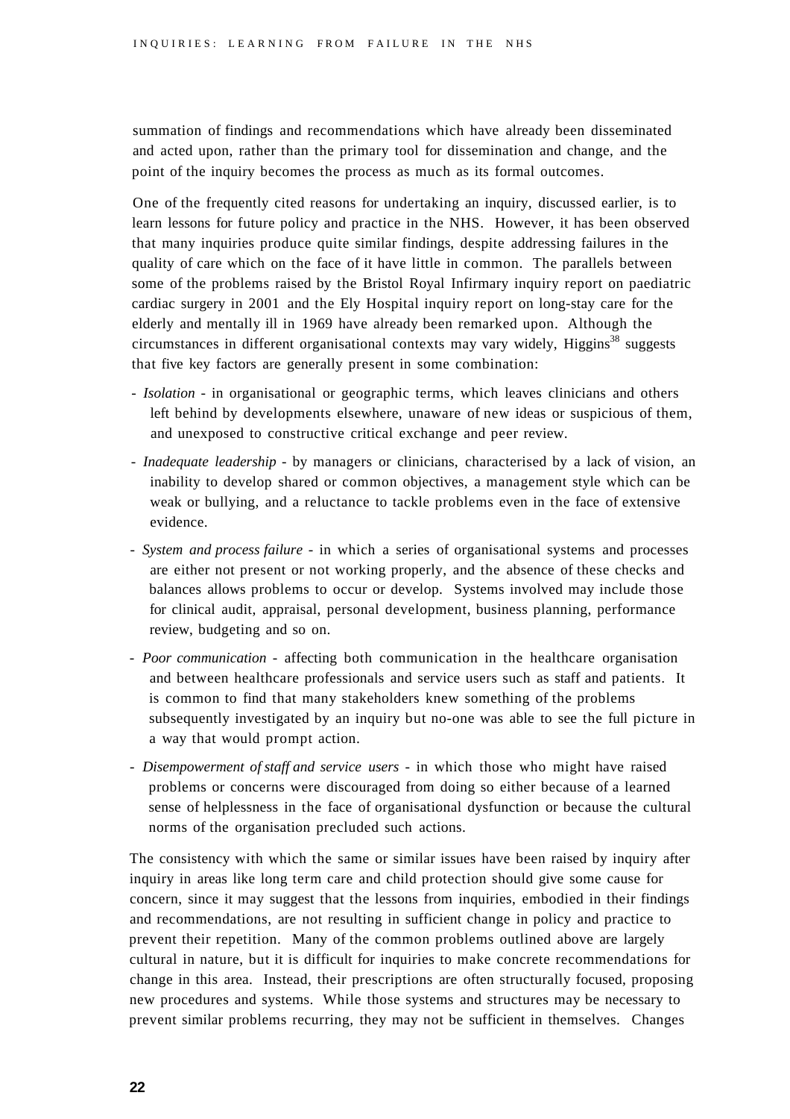summation of findings and recommendations which have already been disseminated and acted upon, rather than the primary tool for dissemination and change, and the point of the inquiry becomes the process as much as its formal outcomes.

One of the frequently cited reasons for undertaking an inquiry, discussed earlier, is to learn lessons for future policy and practice in the NHS. However, it has been observed that many inquiries produce quite similar findings, despite addressing failures in the quality of care which on the face of it have little in common. The parallels between some of the problems raised by the Bristol Royal Infirmary inquiry report on paediatric cardiac surgery in 2001 and the Ely Hospital inquiry report on long-stay care for the elderly and mentally ill in 1969 have already been remarked upon. Although the circumstances in different organisational contexts may vary widely, Higgins<sup>38</sup> suggests that five key factors are generally present in some combination:

- - *Isolation* in organisational or geographic terms, which leaves clinicians and others left behind by developments elsewhere, unaware of new ideas or suspicious of them, and unexposed to constructive critical exchange and peer review.
- - *Inadequate leadership* by managers or clinicians, characterised by a lack of vision, an inability to develop shared or common objectives, a management style which can be weak or bullying, and a reluctance to tackle problems even in the face of extensive evidence.
- - *System and process failure* in which a series of organisational systems and processes are either not present or not working properly, and the absence of these checks and balances allows problems to occur or develop. Systems involved may include those for clinical audit, appraisal, personal development, business planning, performance review, budgeting and so on.
- - *Poor communication -* affecting both communication in the healthcare organisation and between healthcare professionals and service users such as staff and patients. It is common to find that many stakeholders knew something of the problems subsequently investigated by an inquiry but no-one was able to see the full picture in a way that would prompt action.
- - *Disempowerment of staff and service users* in which those who might have raised problems or concerns were discouraged from doing so either because of a learned sense of helplessness in the face of organisational dysfunction or because the cultural norms of the organisation precluded such actions.

The consistency with which the same or similar issues have been raised by inquiry after inquiry in areas like long term care and child protection should give some cause for concern, since it may suggest that the lessons from inquiries, embodied in their findings and recommendations, are not resulting in sufficient change in policy and practice to prevent their repetition. Many of the common problems outlined above are largely cultural in nature, but it is difficult for inquiries to make concrete recommendations for change in this area. Instead, their prescriptions are often structurally focused, proposing new procedures and systems. While those systems and structures may be necessary to prevent similar problems recurring, they may not be sufficient in themselves. Changes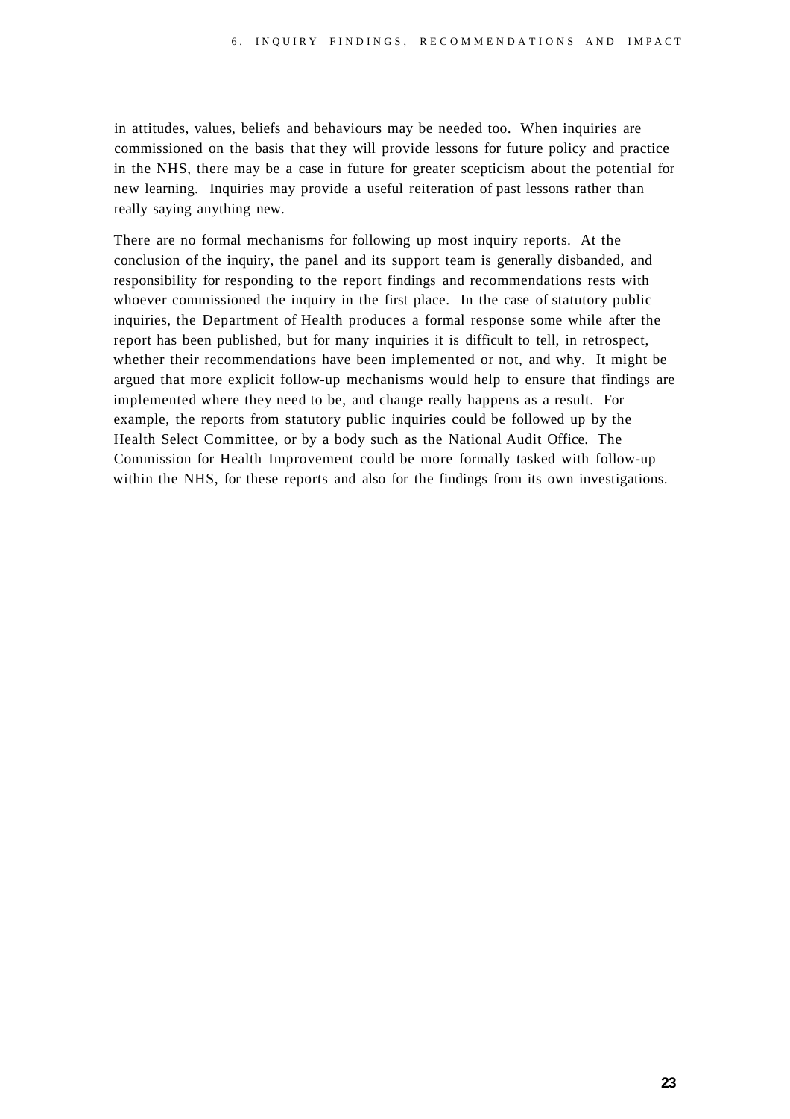in attitudes, values, beliefs and behaviours may be needed too. When inquiries are commissioned on the basis that they will provide lessons for future policy and practice in the NHS, there may be a case in future for greater scepticism about the potential for new learning. Inquiries may provide a useful reiteration of past lessons rather than really saying anything new.

There are no formal mechanisms for following up most inquiry reports. At the conclusion of the inquiry, the panel and its support team is generally disbanded, and responsibility for responding to the report findings and recommendations rests with whoever commissioned the inquiry in the first place. In the case of statutory public inquiries, the Department of Health produces a formal response some while after the report has been published, but for many inquiries it is difficult to tell, in retrospect, whether their recommendations have been implemented or not, and why. It might be argued that more explicit follow-up mechanisms would help to ensure that findings are implemented where they need to be, and change really happens as a result. For example, the reports from statutory public inquiries could be followed up by the Health Select Committee, or by a body such as the National Audit Office. The Commission for Health Improvement could be more formally tasked with follow-up within the NHS, for these reports and also for the findings from its own investigations.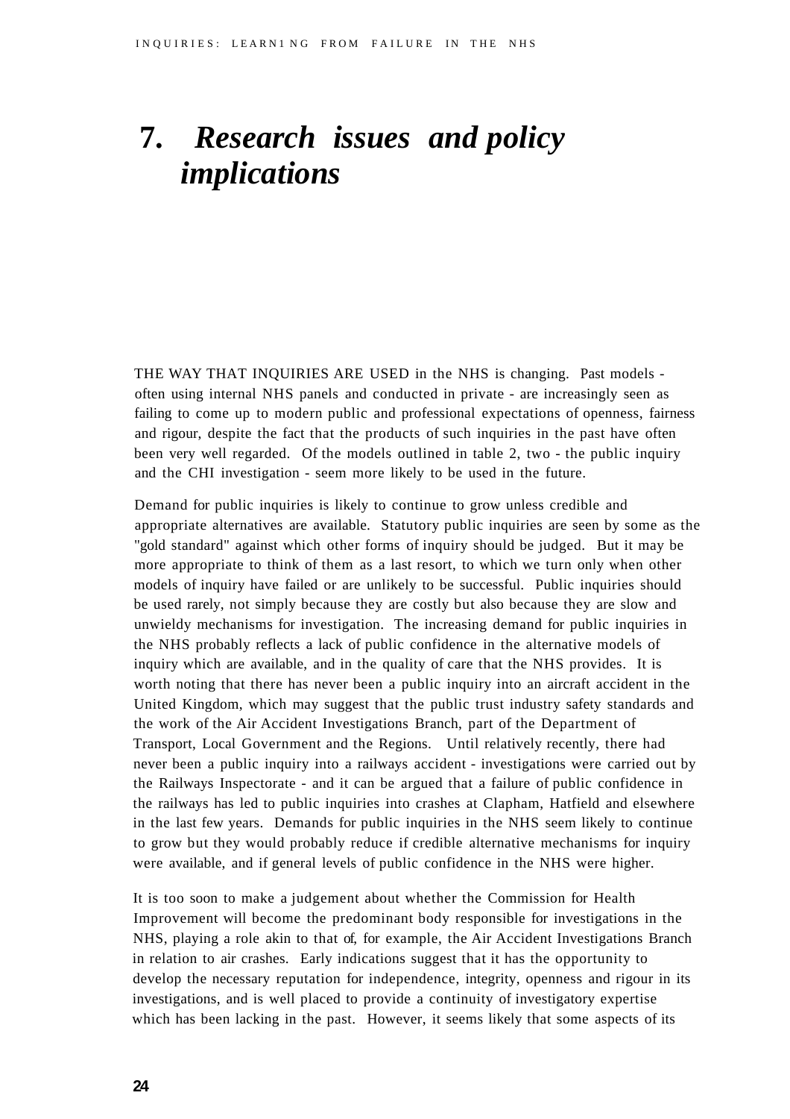### **7.** *Research issues and policy implications*

THE WAY THAT INQUIRIES ARE USED in the NHS is changing. Past models often using internal NHS panels and conducted in private - are increasingly seen as failing to come up to modern public and professional expectations of openness, fairness and rigour, despite the fact that the products of such inquiries in the past have often been very well regarded. Of the models outlined in table 2, two - the public inquiry and the CHI investigation - seem more likely to be used in the future.

Demand for public inquiries is likely to continue to grow unless credible and appropriate alternatives are available. Statutory public inquiries are seen by some as the "gold standard" against which other forms of inquiry should be judged. But it may be more appropriate to think of them as a last resort, to which we turn only when other models of inquiry have failed or are unlikely to be successful. Public inquiries should be used rarely, not simply because they are costly but also because they are slow and unwieldy mechanisms for investigation. The increasing demand for public inquiries in the NHS probably reflects a lack of public confidence in the alternative models of inquiry which are available, and in the quality of care that the NHS provides. It is worth noting that there has never been a public inquiry into an aircraft accident in the United Kingdom, which may suggest that the public trust industry safety standards and the work of the Air Accident Investigations Branch, part of the Department of Transport, Local Government and the Regions. Until relatively recently, there had never been a public inquiry into a railways accident - investigations were carried out by the Railways Inspectorate - and it can be argued that a failure of public confidence in the railways has led to public inquiries into crashes at Clapham, Hatfield and elsewhere in the last few years. Demands for public inquiries in the NHS seem likely to continue to grow but they would probably reduce if credible alternative mechanisms for inquiry were available, and if general levels of public confidence in the NHS were higher.

It is too soon to make a judgement about whether the Commission for Health Improvement will become the predominant body responsible for investigations in the NHS, playing a role akin to that of, for example, the Air Accident Investigations Branch in relation to air crashes. Early indications suggest that it has the opportunity to develop the necessary reputation for independence, integrity, openness and rigour in its investigations, and is well placed to provide a continuity of investigatory expertise which has been lacking in the past. However, it seems likely that some aspects of its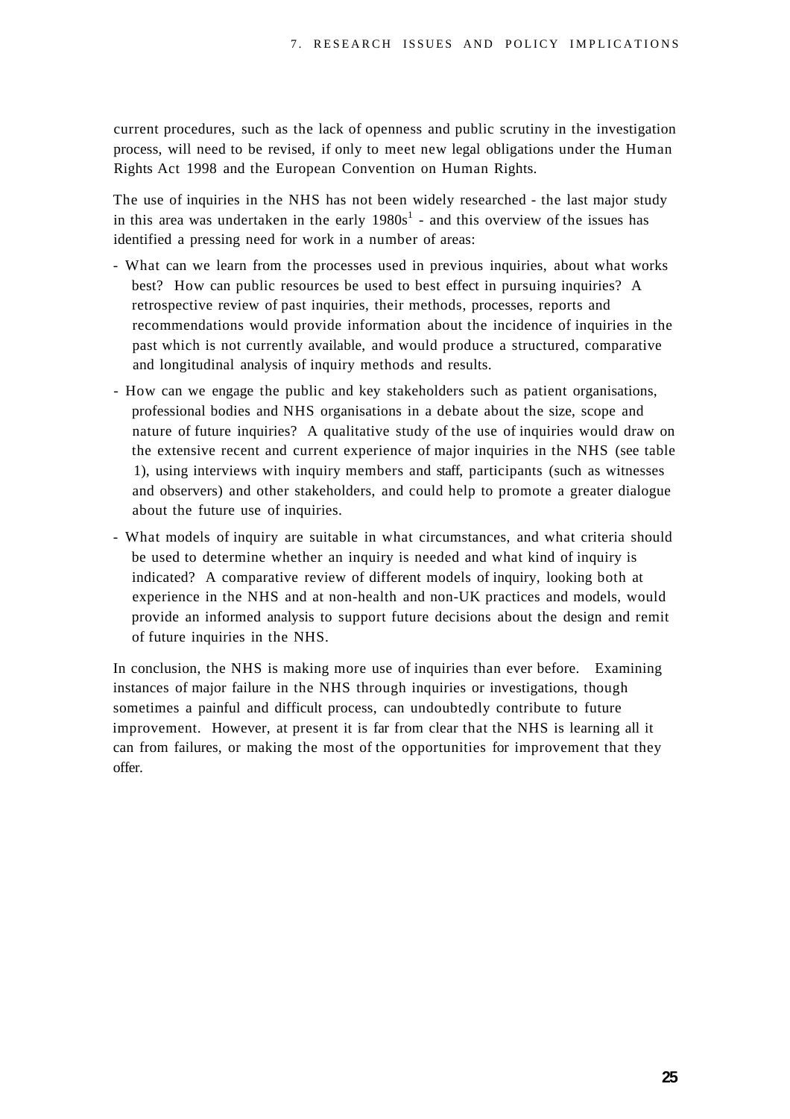current procedures, such as the lack of openness and public scrutiny in the investigation process, will need to be revised, if only to meet new legal obligations under the Human Rights Act 1998 and the European Convention on Human Rights.

The use of inquiries in the NHS has not been widely researched - the last major study in this area was undertaken in the early  $1980s<sup>1</sup>$  - and this overview of the issues has identified a pressing need for work in a number of areas:

- What can we learn from the processes used in previous inquiries, about what works best? How can public resources be used to best effect in pursuing inquiries? A retrospective review of past inquiries, their methods, processes, reports and recommendations would provide information about the incidence of inquiries in the past which is not currently available, and would produce a structured, comparative and longitudinal analysis of inquiry methods and results.
- How can we engage the public and key stakeholders such as patient organisations, professional bodies and NHS organisations in a debate about the size, scope and nature of future inquiries? A qualitative study of the use of inquiries would draw on the extensive recent and current experience of major inquiries in the NHS (see table 1), using interviews with inquiry members and staff, participants (such as witnesses and observers) and other stakeholders, and could help to promote a greater dialogue about the future use of inquiries.
- What models of inquiry are suitable in what circumstances, and what criteria should be used to determine whether an inquiry is needed and what kind of inquiry is indicated? A comparative review of different models of inquiry, looking both at experience in the NHS and at non-health and non-UK practices and models, would provide an informed analysis to support future decisions about the design and remit of future inquiries in the NHS.

In conclusion, the NHS is making more use of inquiries than ever before. Examining instances of major failure in the NHS through inquiries or investigations, though sometimes a painful and difficult process, can undoubtedly contribute to future improvement. However, at present it is far from clear that the NHS is learning all it can from failures, or making the most of the opportunities for improvement that they offer.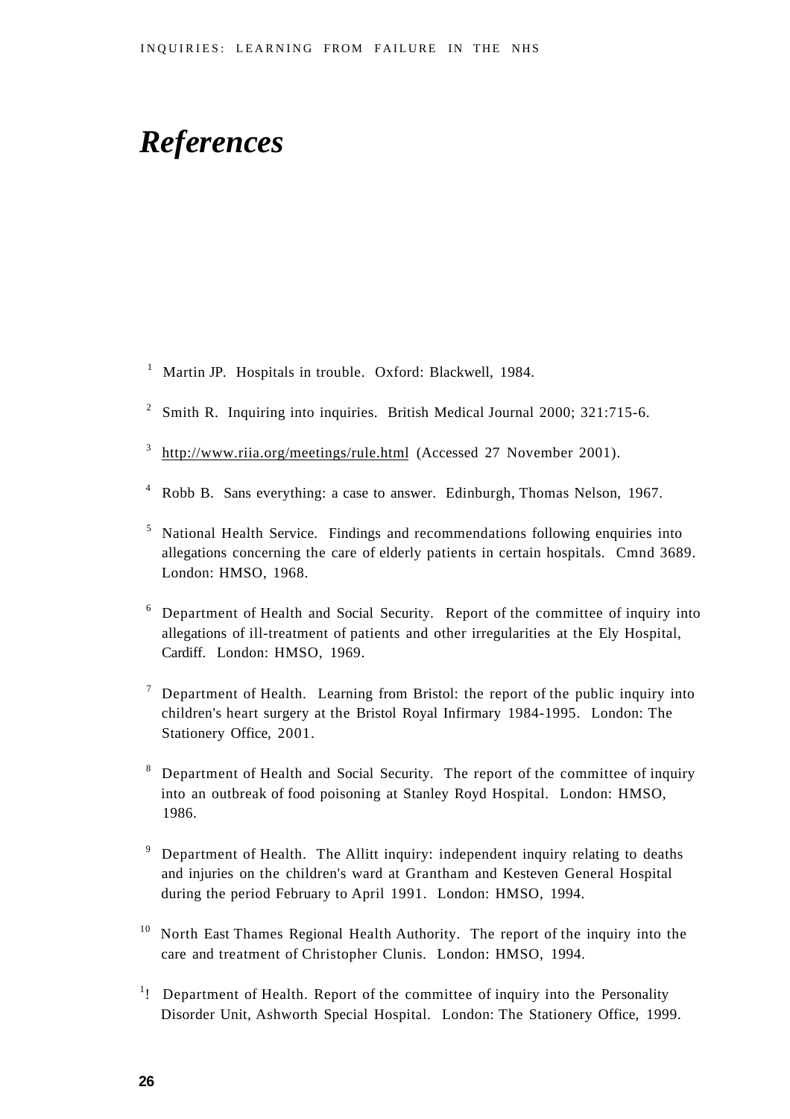### *References*

- <sup>1</sup> Martin JP. Hospitals in trouble. Oxford: Blackwell, 1984.
- <sup>2</sup> Smith R. Inquiring into inquiries. British Medical Journal 2000; 321:715-6.
- $3$  [http://www.riia.org/meetings/rule.html \(](http://www.riia.org/meetings/rule.html)Accessed 27 November 2001).
- <sup>4</sup> Robb B. Sans everything: a case to answer. Edinburgh, Thomas Nelson, 1967.
- <sup>5</sup> National Health Service. Findings and recommendations following enquiries into allegations concerning the care of elderly patients in certain hospitals. Cmnd 3689. London: HMSO, 1968.
- <sup>6</sup> Department of Health and Social Security. Report of the committee of inquiry into allegations of ill-treatment of patients and other irregularities at the Ely Hospital, Cardiff. London: HMSO, 1969.
- <sup>7</sup> Department of Health. Learning from Bristol: the report of the public inquiry into children's heart surgery at the Bristol Royal Infirmary 1984-1995. London: The Stationery Office, 2001.
- 8 Department of Health and Social Security. The report of the committee of inquiry into an outbreak of food poisoning at Stanley Royd Hospital. London: HMSO, 1986.
- <sup>9</sup> Department of Health. The Allitt inquiry: independent inquiry relating to deaths and injuries on the children's ward at Grantham and Kesteven General Hospital during the period February to April 1991. London: HMSO, 1994.
- <sup>10</sup> North East Thames Regional Health Authority. The report of the inquiry into the care and treatment of Christopher Clunis. London: HMSO, 1994.
- <sup>1</sup>! Department of Health. Report of the committee of inquiry into the Personality Disorder Unit, Ashworth Special Hospital. London: The Stationery Office, 1999.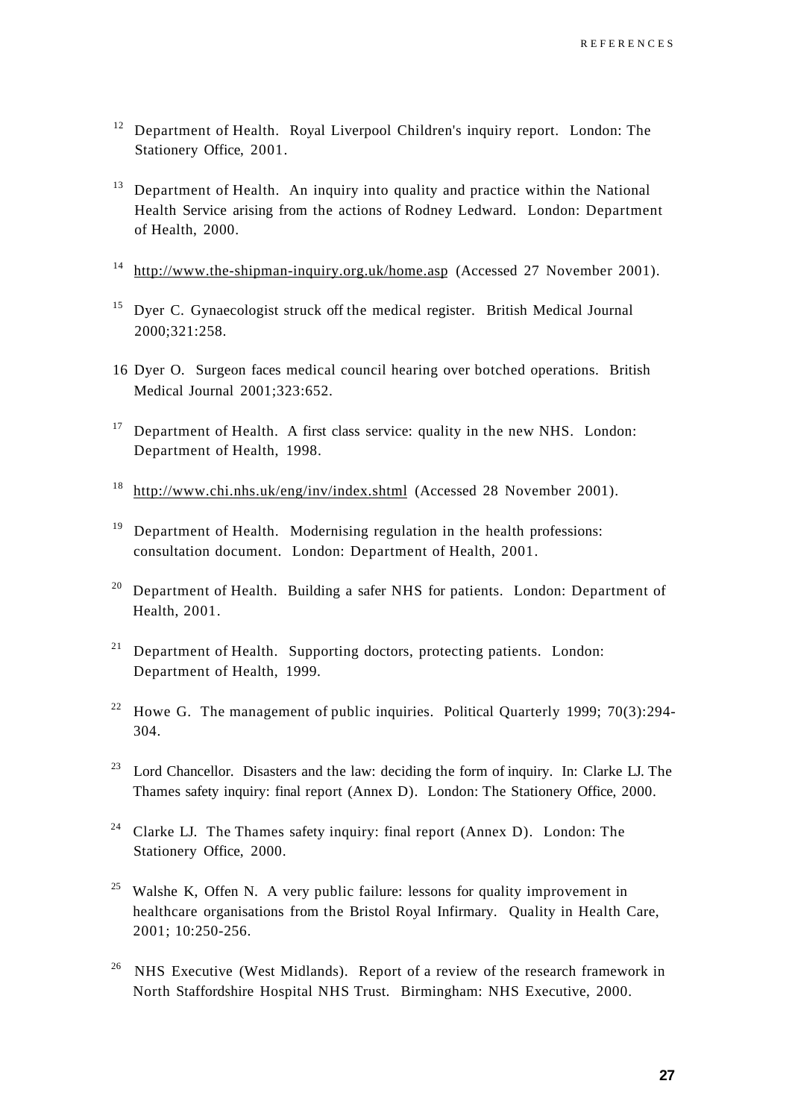- <sup>12</sup> Department of Health. Royal Liverpool Children's inquiry report. London: The Stationery Office, 2001.
- <sup>13</sup> Department of Health. An inquiry into quality and practice within the National Health Service arising from the actions of Rodney Ledward. London: Department of Health, 2000.
- <sup>14</sup> [http://www.the-shipman-inquiry.org.uk/home.asp \(](http://www.the-shipman-inquiry.org.uk/home.asp)Accessed 27 November 2001).
- <sup>15</sup> Dyer C. Gynaecologist struck off the medical register. British Medical Journal 2000;321:258.
- 16 Dyer O. Surgeon faces medical council hearing over botched operations. British Medical Journal 2001;323:652.
- <sup>17</sup> Department of Health. A first class service: quality in the new NHS. London: Department of Health, 1998.
- <sup>18</sup> [http://www.chi.nhs.uk/eng/inv/index.shtml \(](http://www.chi.nhs.uk/eng/inv/index.shtml)Accessed 28 November 2001).
- <sup>19</sup> Department of Health. Modernising regulation in the health professions: consultation document. London: Department of Health, 2001.
- <sup>20</sup> Department of Health. Building a safer NHS for patients. London: Department of Health, 2001.
- $21$  Department of Health. Supporting doctors, protecting patients. London: Department of Health, 1999.
- <sup>22</sup> Howe G. The management of public inquiries. Political Quarterly 1999; 70(3):294-304.
- <sup>23</sup> Lord Chancellor. Disasters and the law: deciding the form of inquiry. In: Clarke LJ. The Thames safety inquiry: final report (Annex D). London: The Stationery Office, 2000.
- <sup>24</sup> Clarke LJ. The Thames safety inquiry: final report (Annex D). London: The Stationery Office, 2000.
- <sup>25</sup> Walshe K, Offen N. A very public failure: lessons for quality improvement in healthcare organisations from the Bristol Royal Infirmary. Quality in Health Care, 2001; 10:250-256.
- <sup>26</sup> NHS Executive (West Midlands). Report of a review of the research framework in North Staffordshire Hospital NHS Trust. Birmingham: NHS Executive, 2000.